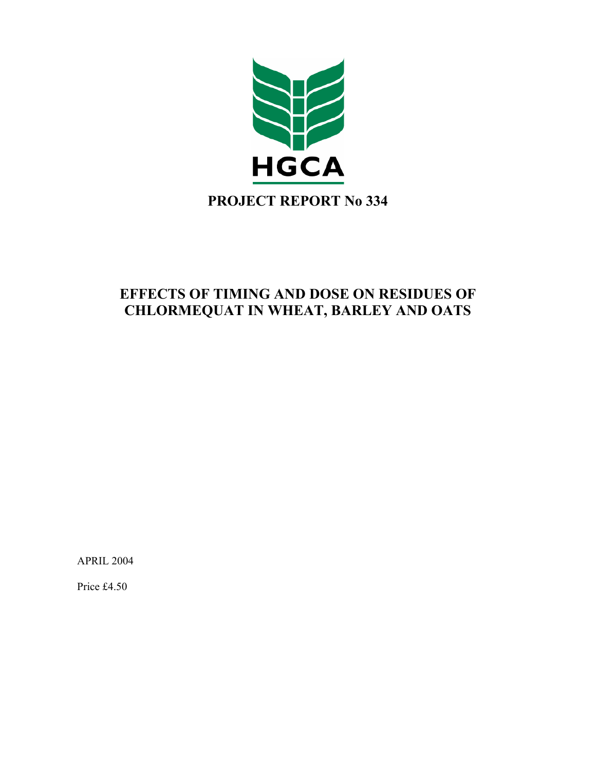

# **EFFECTS OF TIMING AND DOSE ON RESIDUES OF CHLORMEQUAT IN WHEAT, BARLEY AND OATS**

APRIL 2004

Price £4.50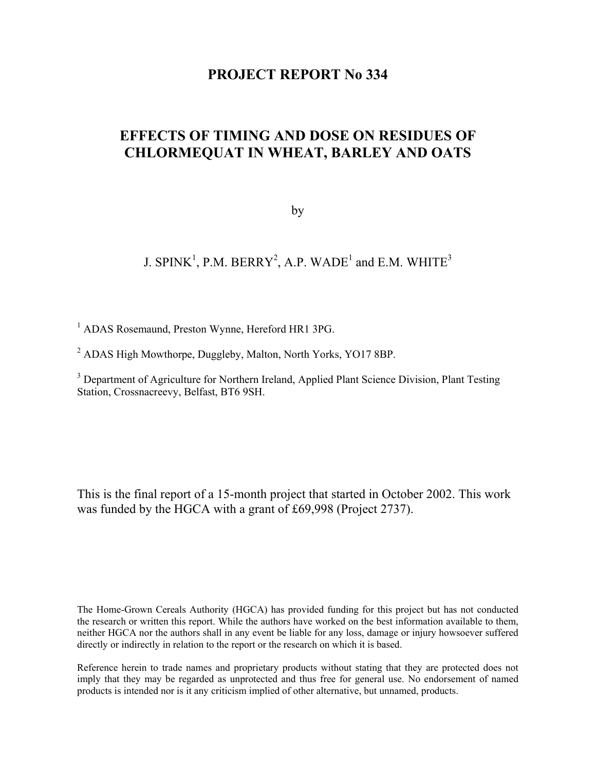# **PROJECT REPORT No 334**

# **EFFECTS OF TIMING AND DOSE ON RESIDUES OF CHLORMEQUAT IN WHEAT, BARLEY AND OATS**

by

J. SPINK<sup>1</sup>, P.M. BERRY<sup>2</sup>, A.P. WADE<sup>1</sup> and E.M. WHITE<sup>3</sup>

<sup>1</sup> ADAS Rosemaund, Preston Wynne, Hereford HR1 3PG.

<sup>2</sup> ADAS High Mowthorpe, Duggleby, Malton, North Yorks, YO17 8BP.

<sup>3</sup> Department of Agriculture for Northern Ireland, Applied Plant Science Division, Plant Testing Station, Crossnacreevy, Belfast, BT6 9SH.

This is the final report of a 15-month project that started in October 2002. This work was funded by the HGCA with a grant of £69,998 (Project 2737).

The Home-Grown Cereals Authority (HGCA) has provided funding for this project but has not conducted the research or written this report. While the authors have worked on the best information available to them, neither HGCA nor the authors shall in any event be liable for any loss, damage or injury howsoever suffered directly or indirectly in relation to the report or the research on which it is based.

Reference herein to trade names and proprietary products without stating that they are protected does not imply that they may be regarded as unprotected and thus free for general use. No endorsement of named products is intended nor is it any criticism implied of other alternative, but unnamed, products.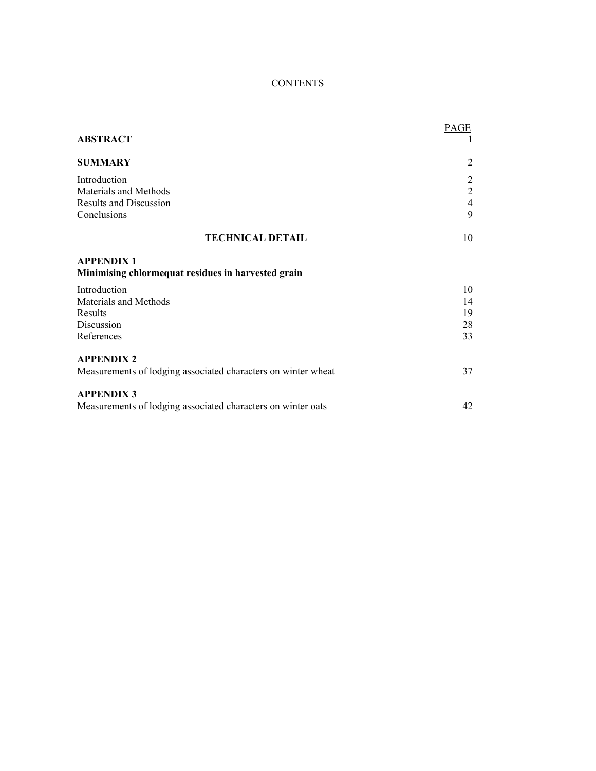# **CONTENTS**

| <b>ABSTRACT</b>                                                                       | PAGE                                                    |
|---------------------------------------------------------------------------------------|---------------------------------------------------------|
| <b>SUMMARY</b>                                                                        | $\overline{2}$                                          |
| Introduction<br>Materials and Methods<br><b>Results and Discussion</b><br>Conclusions | $\overline{c}$<br>$\overline{2}$<br>$\overline{4}$<br>9 |
| <b>TECHNICAL DETAIL</b>                                                               | 10                                                      |
| <b>APPENDIX 1</b><br>Minimising chlormequat residues in harvested grain               |                                                         |
| Introduction<br>Materials and Methods<br>Results<br>Discussion<br>References          | 10<br>14<br>19<br>28<br>33                              |
| <b>APPENDIX 2</b><br>Measurements of lodging associated characters on winter wheat    | 37                                                      |
| <b>APPENDIX 3</b><br>Measurements of lodging associated characters on winter oats     | 42                                                      |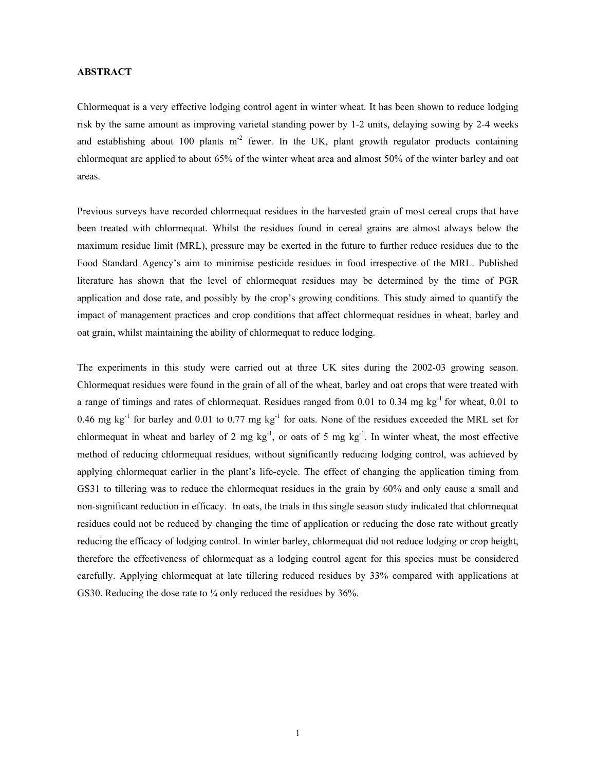# **ABSTRACT**

Chlormequat is a very effective lodging control agent in winter wheat. It has been shown to reduce lodging risk by the same amount as improving varietal standing power by 1-2 units, delaying sowing by 2-4 weeks and establishing about 100 plants  $m<sup>2</sup>$  fewer. In the UK, plant growth regulator products containing chlormequat are applied to about 65% of the winter wheat area and almost 50% of the winter barley and oat areas.

Previous surveys have recorded chlormequat residues in the harvested grain of most cereal crops that have been treated with chlormequat. Whilst the residues found in cereal grains are almost always below the maximum residue limit (MRL), pressure may be exerted in the future to further reduce residues due to the Food Standard Agency's aim to minimise pesticide residues in food irrespective of the MRL. Published literature has shown that the level of chlormequat residues may be determined by the time of PGR application and dose rate, and possibly by the crop's growing conditions. This study aimed to quantify the impact of management practices and crop conditions that affect chlormequat residues in wheat, barley and oat grain, whilst maintaining the ability of chlormequat to reduce lodging.

The experiments in this study were carried out at three UK sites during the 2002-03 growing season. Chlormequat residues were found in the grain of all of the wheat, barley and oat crops that were treated with a range of timings and rates of chlormequat. Residues ranged from 0.01 to 0.34 mg  $kg<sup>-1</sup>$  for wheat, 0.01 to 0.46 mg kg<sup>-1</sup> for barley and 0.01 to 0.77 mg kg<sup>-1</sup> for oats. None of the residues exceeded the MRL set for chlormequat in wheat and barley of 2 mg  $kg^{-1}$ , or oats of 5 mg  $kg^{-1}$ . In winter wheat, the most effective method of reducing chlormequat residues, without significantly reducing lodging control, was achieved by applying chlormequat earlier in the plant's life-cycle. The effect of changing the application timing from GS31 to tillering was to reduce the chlormequat residues in the grain by 60% and only cause a small and non-significant reduction in efficacy. In oats, the trials in this single season study indicated that chlormequat residues could not be reduced by changing the time of application or reducing the dose rate without greatly reducing the efficacy of lodging control. In winter barley, chlormequat did not reduce lodging or crop height, therefore the effectiveness of chlormequat as a lodging control agent for this species must be considered carefully. Applying chlormequat at late tillering reduced residues by 33% compared with applications at GS30. Reducing the dose rate to  $\frac{1}{4}$  only reduced the residues by 36%.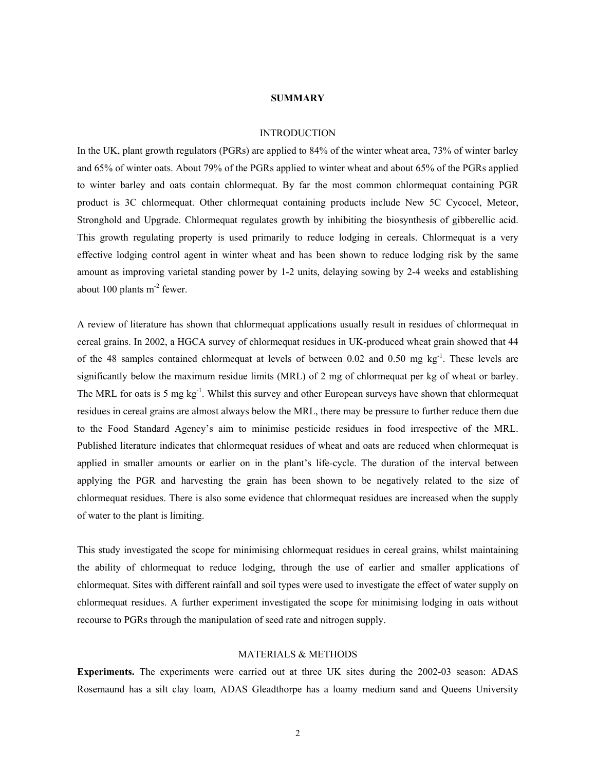#### **SUMMARY**

#### INTRODUCTION

In the UK, plant growth regulators (PGRs) are applied to 84% of the winter wheat area, 73% of winter barley and 65% of winter oats. About 79% of the PGRs applied to winter wheat and about 65% of the PGRs applied to winter barley and oats contain chlormequat. By far the most common chlormequat containing PGR product is 3C chlormequat. Other chlormequat containing products include New 5C Cycocel, Meteor, Stronghold and Upgrade. Chlormequat regulates growth by inhibiting the biosynthesis of gibberellic acid. This growth regulating property is used primarily to reduce lodging in cereals. Chlormequat is a very effective lodging control agent in winter wheat and has been shown to reduce lodging risk by the same amount as improving varietal standing power by 1-2 units, delaying sowing by 2-4 weeks and establishing about 100 plants  $m<sup>-2</sup>$  fewer.

A review of literature has shown that chlormequat applications usually result in residues of chlormequat in cereal grains. In 2002, a HGCA survey of chlormequat residues in UK-produced wheat grain showed that 44 of the 48 samples contained chlormequat at levels of between 0.02 and 0.50 mg kg<sup>-1</sup>. These levels are significantly below the maximum residue limits (MRL) of 2 mg of chlormequat per kg of wheat or barley. The MRL for oats is 5 mg  $kg^{-1}$ . Whilst this survey and other European surveys have shown that chlormequat residues in cereal grains are almost always below the MRL, there may be pressure to further reduce them due to the Food Standard Agency's aim to minimise pesticide residues in food irrespective of the MRL. Published literature indicates that chlormequat residues of wheat and oats are reduced when chlormequat is applied in smaller amounts or earlier on in the plant's life-cycle. The duration of the interval between applying the PGR and harvesting the grain has been shown to be negatively related to the size of chlormequat residues. There is also some evidence that chlormequat residues are increased when the supply of water to the plant is limiting.

This study investigated the scope for minimising chlormequat residues in cereal grains, whilst maintaining the ability of chlormequat to reduce lodging, through the use of earlier and smaller applications of chlormequat. Sites with different rainfall and soil types were used to investigate the effect of water supply on chlormequat residues. A further experiment investigated the scope for minimising lodging in oats without recourse to PGRs through the manipulation of seed rate and nitrogen supply.

# MATERIALS & METHODS

**Experiments.** The experiments were carried out at three UK sites during the 2002-03 season: ADAS Rosemaund has a silt clay loam, ADAS Gleadthorpe has a loamy medium sand and Queens University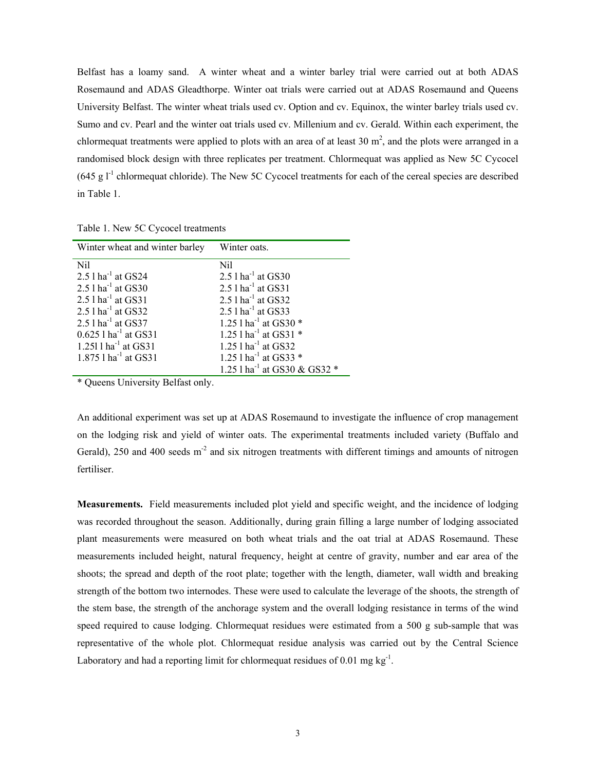Belfast has a loamy sand. A winter wheat and a winter barley trial were carried out at both ADAS Rosemaund and ADAS Gleadthorpe. Winter oat trials were carried out at ADAS Rosemaund and Queens University Belfast. The winter wheat trials used cv. Option and cv. Equinox, the winter barley trials used cv. Sumo and cv. Pearl and the winter oat trials used cv. Millenium and cv. Gerald. Within each experiment, the chlormequat treatments were applied to plots with an area of at least 30  $m^2$ , and the plots were arranged in a randomised block design with three replicates per treatment. Chlormequat was applied as New 5C Cycocel  $(645 \text{ g l}^{-1})$  chlormequat chloride). The New 5C Cycocel treatments for each of the cereal species are described in Table 1.

Table 1. New 5C Cycocel treatments

| Winter wheat and winter barley     | Winter oats.                             |
|------------------------------------|------------------------------------------|
| Nil                                | Nil                                      |
| $2.51$ ha <sup>-1</sup> at GS24    | 2.5 $1$ ha <sup>-1</sup> at GS30         |
| $2.51$ ha <sup>-1</sup> at GS30    | $2.51$ ha <sup>-1</sup> at GS31          |
| $2.51$ ha <sup>-1</sup> at GS31    | $2.5$ l ha <sup>-1</sup> at GS32         |
| $2.5$ l ha <sup>-1</sup> at GS32   | $2.5$ l ha <sup>-1</sup> at GS33         |
| 2.5 $1$ ha <sup>-1</sup> at GS37   | 1.25 $1$ ha <sup>-1</sup> at GS30 $*$    |
| $0.625$ 1 ha <sup>-1</sup> at GS31 | 1.25 $1$ ha <sup>-1</sup> at GS31 $*$    |
| 1.251 $1$ ha <sup>-1</sup> at GS31 | $1.25$ l ha <sup>-1</sup> at GS32        |
| 1.875 l ha <sup>-1</sup> at GS31   | 1.25 $1$ ha <sup>-1</sup> at GS33 $*$    |
|                                    | 1.25 l ha <sup>-1</sup> at GS30 & GS32 * |

\* Queens University Belfast only.

An additional experiment was set up at ADAS Rosemaund to investigate the influence of crop management on the lodging risk and yield of winter oats. The experimental treatments included variety (Buffalo and Gerald), 250 and 400 seeds  $m<sup>2</sup>$  and six nitrogen treatments with different timings and amounts of nitrogen fertiliser.

**Measurements.** Field measurements included plot yield and specific weight, and the incidence of lodging was recorded throughout the season. Additionally, during grain filling a large number of lodging associated plant measurements were measured on both wheat trials and the oat trial at ADAS Rosemaund. These measurements included height, natural frequency, height at centre of gravity, number and ear area of the shoots; the spread and depth of the root plate; together with the length, diameter, wall width and breaking strength of the bottom two internodes. These were used to calculate the leverage of the shoots, the strength of the stem base, the strength of the anchorage system and the overall lodging resistance in terms of the wind speed required to cause lodging. Chlormequat residues were estimated from a 500 g sub-sample that was representative of the whole plot. Chlormequat residue analysis was carried out by the Central Science Laboratory and had a reporting limit for chlormequat residues of 0.01 mg  $kg^{-1}$ .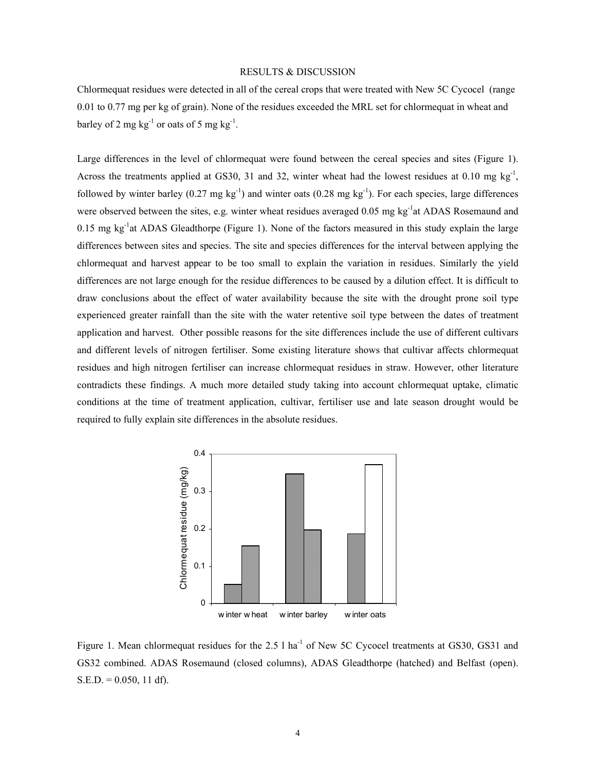# RESULTS & DISCUSSION

Chlormequat residues were detected in all of the cereal crops that were treated with New 5C Cycocel (range 0.01 to 0.77 mg per kg of grain). None of the residues exceeded the MRL set for chlormequat in wheat and barley of 2 mg  $kg^{-1}$  or oats of 5 mg  $kg^{-1}$ .

Large differences in the level of chlormequat were found between the cereal species and sites (Figure 1). Across the treatments applied at GS30, 31 and 32, winter wheat had the lowest residues at 0.10 mg kg<sup>-1</sup>, followed by winter barley (0.27 mg kg<sup>-1</sup>) and winter oats (0.28 mg kg<sup>-1</sup>). For each species, large differences were observed between the sites, e.g. winter wheat residues averaged 0.05 mg kg<sup>-1</sup>at ADAS Rosemaund and 0.15 mg kg<sup>-1</sup>at ADAS Gleadthorpe (Figure 1). None of the factors measured in this study explain the large differences between sites and species. The site and species differences for the interval between applying the chlormequat and harvest appear to be too small to explain the variation in residues. Similarly the yield differences are not large enough for the residue differences to be caused by a dilution effect. It is difficult to draw conclusions about the effect of water availability because the site with the drought prone soil type experienced greater rainfall than the site with the water retentive soil type between the dates of treatment application and harvest. Other possible reasons for the site differences include the use of different cultivars and different levels of nitrogen fertiliser. Some existing literature shows that cultivar affects chlormequat residues and high nitrogen fertiliser can increase chlormequat residues in straw. However, other literature contradicts these findings. A much more detailed study taking into account chlormequat uptake, climatic conditions at the time of treatment application, cultivar, fertiliser use and late season drought would be required to fully explain site differences in the absolute residues.



Figure 1. Mean chlormequat residues for the 2.5 l ha<sup>-1</sup> of New 5C Cycocel treatments at GS30, GS31 and GS32 combined. ADAS Rosemaund (closed columns), ADAS Gleadthorpe (hatched) and Belfast (open).  $S.E.D. = 0.050, 11 df$ .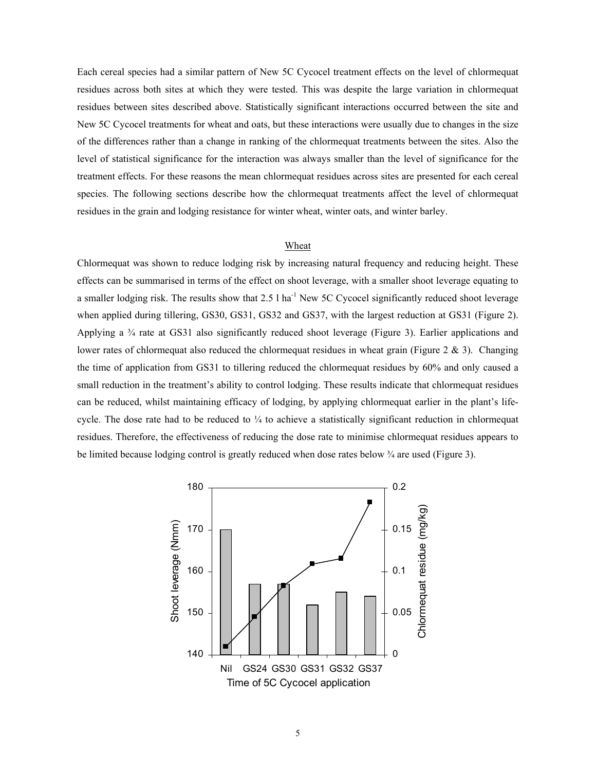Each cereal species had a similar pattern of New 5C Cycocel treatment effects on the level of chlormequat residues across both sites at which they were tested. This was despite the large variation in chlormequat residues between sites described above. Statistically significant interactions occurred between the site and New 5C Cycocel treatments for wheat and oats, but these interactions were usually due to changes in the size of the differences rather than a change in ranking of the chlormequat treatments between the sites. Also the level of statistical significance for the interaction was always smaller than the level of significance for the treatment effects. For these reasons the mean chlormequat residues across sites are presented for each cereal species. The following sections describe how the chlormequat treatments affect the level of chlormequat residues in the grain and lodging resistance for winter wheat, winter oats, and winter barley.

# Wheat

Chlormequat was shown to reduce lodging risk by increasing natural frequency and reducing height. These effects can be summarised in terms of the effect on shoot leverage, with a smaller shoot leverage equating to a smaller lodging risk. The results show that 2.5 l ha<sup>-1</sup> New 5C Cycocel significantly reduced shoot leverage when applied during tillering, GS30, GS31, GS32 and GS37, with the largest reduction at GS31 (Figure 2). Applying a  $\frac{3}{4}$  rate at GS31 also significantly reduced shoot leverage (Figure 3). Earlier applications and lower rates of chlormequat also reduced the chlormequat residues in wheat grain (Figure  $2 \& 3$ ). Changing the time of application from GS31 to tillering reduced the chlormequat residues by 60% and only caused a small reduction in the treatment's ability to control lodging. These results indicate that chlormequat residues can be reduced, whilst maintaining efficacy of lodging, by applying chlormequat earlier in the plant's lifecycle. The dose rate had to be reduced to  $\frac{1}{4}$  to achieve a statistically significant reduction in chlormequat residues. Therefore, the effectiveness of reducing the dose rate to minimise chlormequat residues appears to be limited because lodging control is greatly reduced when dose rates below  $\frac{3}{4}$  are used (Figure 3).

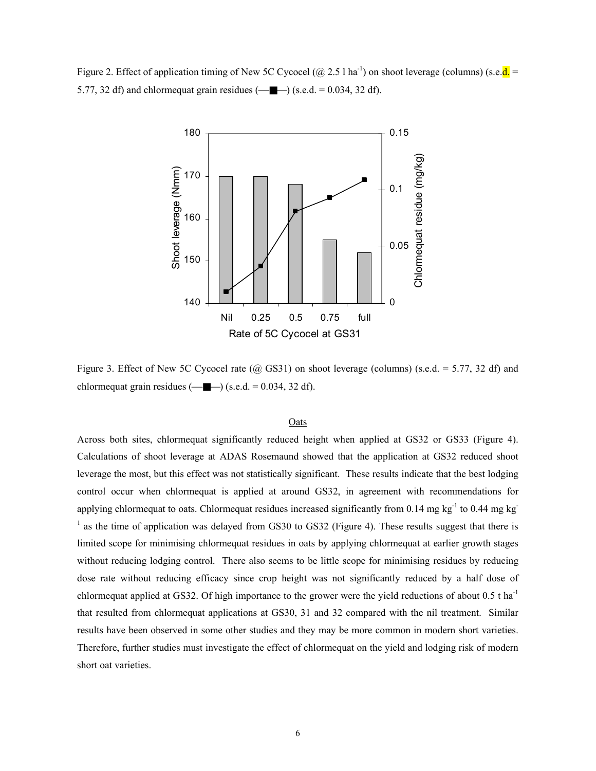Figure 2. Effect of application timing of New 5C Cycocel ( $@$  2.5 l ha<sup>-1</sup>) on shoot leverage (columns) (s.e. $d =$ 5.77, 32 df) and chlormequat grain residues  $(-\blacksquare)$  (s.e.d. = 0.034, 32 df).



Figure 3. Effect of New 5C Cycocel rate ( $\omega$  GS31) on shoot leverage (columns) (s.e.d. = 5.77, 32 df) and chlormequat grain residues  $(\_\_\_\_\_)$  (s.e.d. = 0.034, 32 df).

# **Oats**

Across both sites, chlormequat significantly reduced height when applied at GS32 or GS33 (Figure 4). Calculations of shoot leverage at ADAS Rosemaund showed that the application at GS32 reduced shoot leverage the most, but this effect was not statistically significant. These results indicate that the best lodging control occur when chlormequat is applied at around GS32, in agreement with recommendations for applying chlormequat to oats. Chlormequat residues increased significantly from 0.14 mg kg<sup>-1</sup> to 0.44 mg kg<sup>-1</sup> <sup>1</sup> as the time of application was delayed from GS30 to GS32 (Figure 4). These results suggest that there is limited scope for minimising chlormequat residues in oats by applying chlormequat at earlier growth stages without reducing lodging control. There also seems to be little scope for minimising residues by reducing dose rate without reducing efficacy since crop height was not significantly reduced by a half dose of chlormequat applied at GS32. Of high importance to the grower were the yield reductions of about  $0.5$  t ha<sup>-1</sup> that resulted from chlormequat applications at GS30, 31 and 32 compared with the nil treatment. Similar results have been observed in some other studies and they may be more common in modern short varieties. Therefore, further studies must investigate the effect of chlormequat on the yield and lodging risk of modern short oat varieties.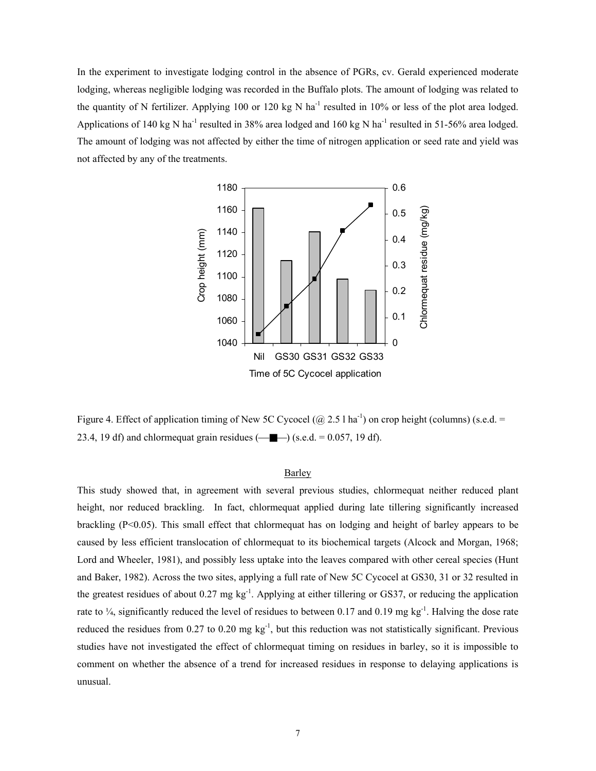In the experiment to investigate lodging control in the absence of PGRs, cv. Gerald experienced moderate lodging, whereas negligible lodging was recorded in the Buffalo plots. The amount of lodging was related to the quantity of N fertilizer. Applying 100 or 120 kg N ha<sup>-1</sup> resulted in 10% or less of the plot area lodged. Applications of 140 kg N ha<sup>-1</sup> resulted in 38% area lodged and 160 kg N ha<sup>-1</sup> resulted in 51-56% area lodged. The amount of lodging was not affected by either the time of nitrogen application or seed rate and yield was not affected by any of the treatments.



Figure 4. Effect of application timing of New 5C Cycocel ( $@$  2.5 l ha<sup>-1</sup>) on crop height (columns) (s.e.d. = 23.4, 19 df) and chlormequat grain residues  $(\_\_\_\_\_)$  (s.e.d. = 0.057, 19 df).

# Barley

This study showed that, in agreement with several previous studies, chlormequat neither reduced plant height, nor reduced brackling. In fact, chlormequat applied during late tillering significantly increased brackling (P<0.05). This small effect that chlormequat has on lodging and height of barley appears to be caused by less efficient translocation of chlormequat to its biochemical targets (Alcock and Morgan, 1968; Lord and Wheeler, 1981), and possibly less uptake into the leaves compared with other cereal species (Hunt and Baker, 1982). Across the two sites, applying a full rate of New 5C Cycocel at GS30, 31 or 32 resulted in the greatest residues of about 0.27 mg kg<sup>-1</sup>. Applying at either tillering or GS37, or reducing the application rate to  $\frac{1}{4}$ , significantly reduced the level of residues to between 0.17 and 0.19 mg kg<sup>-1</sup>. Halving the dose rate reduced the residues from 0.27 to 0.20 mg  $kg^{-1}$ , but this reduction was not statistically significant. Previous studies have not investigated the effect of chlormequat timing on residues in barley, so it is impossible to comment on whether the absence of a trend for increased residues in response to delaying applications is unusual.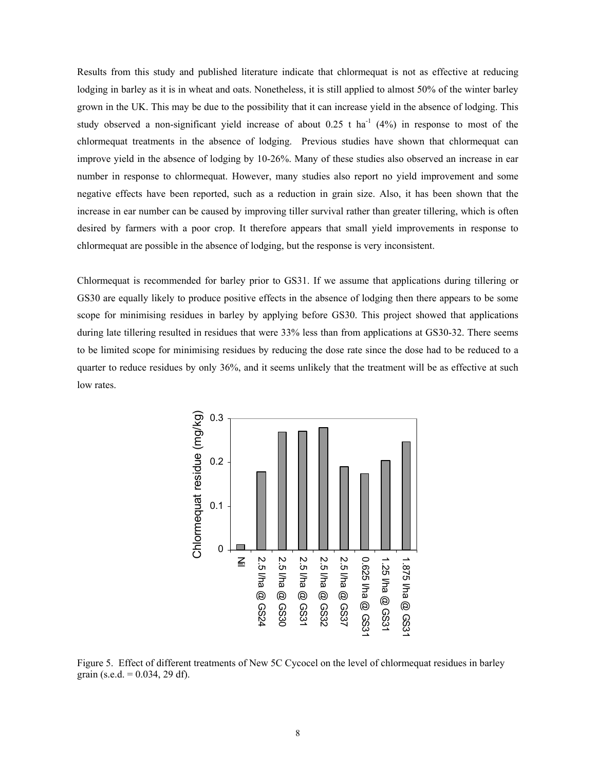Results from this study and published literature indicate that chlormequat is not as effective at reducing lodging in barley as it is in wheat and oats. Nonetheless, it is still applied to almost 50% of the winter barley grown in the UK. This may be due to the possibility that it can increase yield in the absence of lodging. This study observed a non-significant yield increase of about  $0.25$  t ha<sup>-1</sup> (4%) in response to most of the chlormequat treatments in the absence of lodging. Previous studies have shown that chlormequat can improve yield in the absence of lodging by 10-26%. Many of these studies also observed an increase in ear number in response to chlormequat. However, many studies also report no yield improvement and some negative effects have been reported, such as a reduction in grain size. Also, it has been shown that the increase in ear number can be caused by improving tiller survival rather than greater tillering, which is often desired by farmers with a poor crop. It therefore appears that small yield improvements in response to chlormequat are possible in the absence of lodging, but the response is very inconsistent.

Chlormequat is recommended for barley prior to GS31. If we assume that applications during tillering or GS30 are equally likely to produce positive effects in the absence of lodging then there appears to be some scope for minimising residues in barley by applying before GS30. This project showed that applications during late tillering resulted in residues that were 33% less than from applications at GS30-32. There seems to be limited scope for minimising residues by reducing the dose rate since the dose had to be reduced to a quarter to reduce residues by only 36%, and it seems unlikely that the treatment will be as effective at such low rates.



Figure 5. Effect of different treatments of New 5C Cycocel on the level of chlormequat residues in barley grain (s.e.d. =  $0.034$ , 29 df).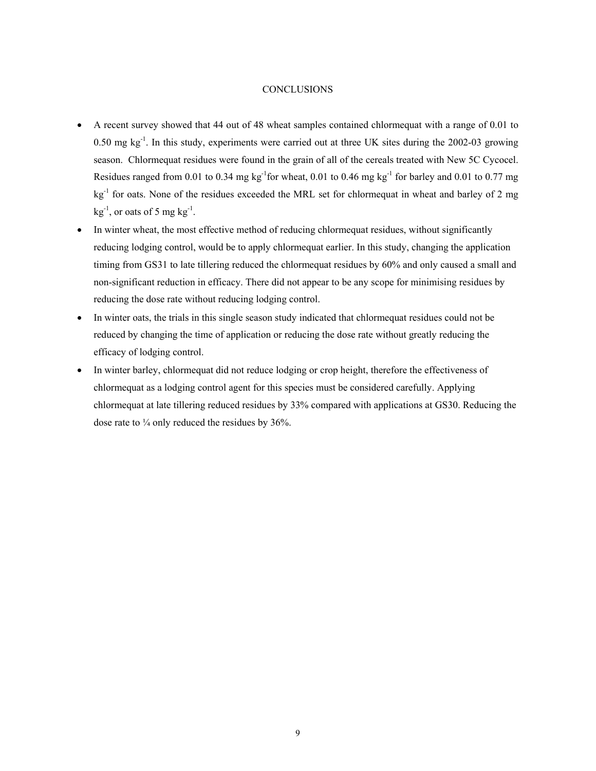# **CONCLUSIONS**

- A recent survey showed that 44 out of 48 wheat samples contained chlormequat with a range of 0.01 to 0.50 mg kg<sup>-1</sup>. In this study, experiments were carried out at three UK sites during the 2002-03 growing season. Chlormequat residues were found in the grain of all of the cereals treated with New 5C Cycocel. Residues ranged from 0.01 to 0.34 mg kg<sup>-1</sup> for wheat, 0.01 to 0.46 mg kg<sup>-1</sup> for barley and 0.01 to 0.77 mg  $kg<sup>-1</sup>$  for oats. None of the residues exceeded the MRL set for chlormequat in wheat and barley of 2 mg  $kg^{-1}$ , or oats of 5 mg kg<sup>-1</sup>.
- In winter wheat, the most effective method of reducing chlormequat residues, without significantly reducing lodging control, would be to apply chlormequat earlier. In this study, changing the application timing from GS31 to late tillering reduced the chlormequat residues by 60% and only caused a small and non-significant reduction in efficacy. There did not appear to be any scope for minimising residues by reducing the dose rate without reducing lodging control.
- In winter oats, the trials in this single season study indicated that chlormequat residues could not be reduced by changing the time of application or reducing the dose rate without greatly reducing the efficacy of lodging control.
- In winter barley, chlormequat did not reduce lodging or crop height, therefore the effectiveness of chlormequat as a lodging control agent for this species must be considered carefully. Applying chlormequat at late tillering reduced residues by 33% compared with applications at GS30. Reducing the dose rate to  $\frac{1}{4}$  only reduced the residues by 36%.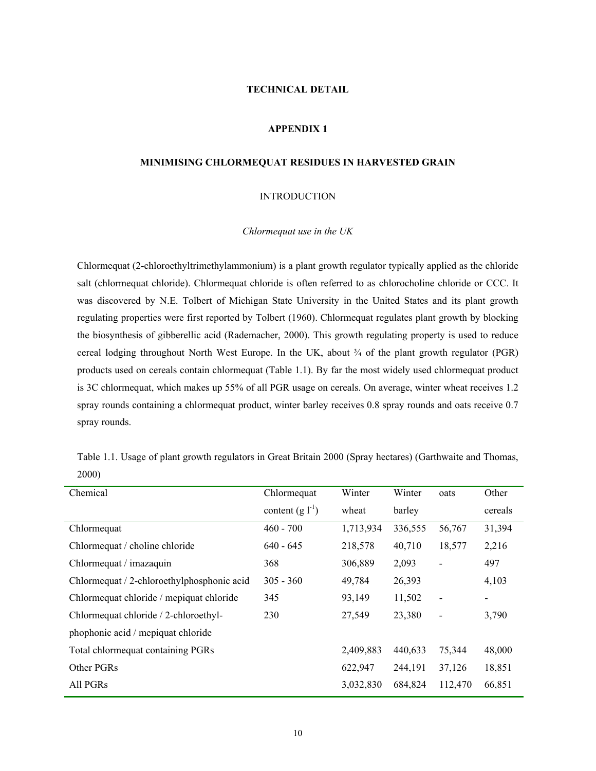# **TECHNICAL DETAIL**

# **APPENDIX 1**

## **MINIMISING CHLORMEQUAT RESIDUES IN HARVESTED GRAIN**

## INTRODUCTION

## *Chlormequat use in the UK*

Chlormequat (2-chloroethyltrimethylammonium) is a plant growth regulator typically applied as the chloride salt (chlormequat chloride). Chlormequat chloride is often referred to as chlorocholine chloride or CCC. It was discovered by N.E. Tolbert of Michigan State University in the United States and its plant growth regulating properties were first reported by Tolbert (1960). Chlormequat regulates plant growth by blocking the biosynthesis of gibberellic acid (Rademacher, 2000). This growth regulating property is used to reduce cereal lodging throughout North West Europe. In the UK, about  $\frac{3}{4}$  of the plant growth regulator (PGR) products used on cereals contain chlormequat (Table 1.1). By far the most widely used chlormequat product is 3C chlormequat, which makes up 55% of all PGR usage on cereals. On average, winter wheat receives 1.2 spray rounds containing a chlormequat product, winter barley receives 0.8 spray rounds and oats receive 0.7 spray rounds.

Table 1.1. Usage of plant growth regulators in Great Britain 2000 (Spray hectares) (Garthwaite and Thomas, 2000)

| Chemical                                   | Chlormequat          | Winter    | Winter  | oats                     | Other   |
|--------------------------------------------|----------------------|-----------|---------|--------------------------|---------|
|                                            | content $(g l^{-1})$ | wheat     | barley  |                          | cereals |
| Chlormequat                                | $460 - 700$          | 1,713,934 | 336,555 | 56,767                   | 31,394  |
| Chlormequat / choline chloride             | $640 - 645$          | 218,578   | 40,710  | 18,577                   | 2,216   |
| Chlormequat / imazaquin                    | 368                  | 306,889   | 2,093   | $\overline{\phantom{a}}$ | 497     |
| Chlormequat / 2-chloroethylphosphonic acid | $305 - 360$          | 49,784    | 26,393  |                          | 4,103   |
| Chlormequat chloride / mepiquat chloride   | 345                  | 93,149    | 11,502  | $\blacksquare$           |         |
| Chlormequat chloride / 2-chloroethyl-      | 230                  | 27,549    | 23,380  | $\overline{\phantom{a}}$ | 3,790   |
| phophonic acid / mepiquat chloride         |                      |           |         |                          |         |
| Total chlormequat containing PGRs          |                      | 2,409,883 | 440,633 | 75,344                   | 48,000  |
| Other PGRs                                 |                      | 622,947   | 244,191 | 37,126                   | 18,851  |
| All PGRs                                   |                      | 3,032,830 | 684,824 | 112,470                  | 66,851  |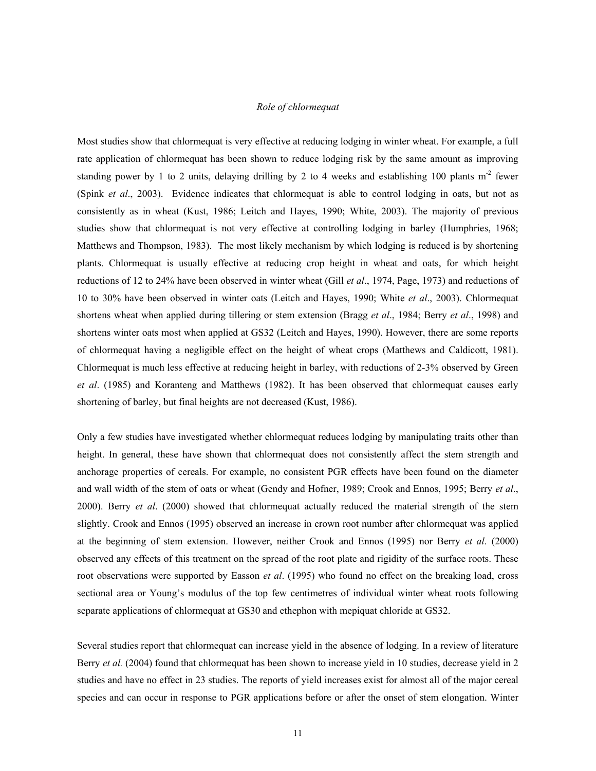## *Role of chlormequat*

Most studies show that chlormequat is very effective at reducing lodging in winter wheat. For example, a full rate application of chlormequat has been shown to reduce lodging risk by the same amount as improving standing power by 1 to 2 units, delaying drilling by 2 to 4 weeks and establishing 100 plants m<sup>-2</sup> fewer (Spink *et al*., 2003). Evidence indicates that chlormequat is able to control lodging in oats, but not as consistently as in wheat (Kust, 1986; Leitch and Hayes, 1990; White, 2003). The majority of previous studies show that chlormequat is not very effective at controlling lodging in barley (Humphries, 1968; Matthews and Thompson, 1983). The most likely mechanism by which lodging is reduced is by shortening plants. Chlormequat is usually effective at reducing crop height in wheat and oats, for which height reductions of 12 to 24% have been observed in winter wheat (Gill *et al*., 1974, Page, 1973) and reductions of 10 to 30% have been observed in winter oats (Leitch and Hayes, 1990; White *et al*., 2003). Chlormequat shortens wheat when applied during tillering or stem extension (Bragg *et al*., 1984; Berry *et al*., 1998) and shortens winter oats most when applied at GS32 (Leitch and Hayes, 1990). However, there are some reports of chlormequat having a negligible effect on the height of wheat crops (Matthews and Caldicott, 1981). Chlormequat is much less effective at reducing height in barley, with reductions of 2-3% observed by Green *et al*. (1985) and Koranteng and Matthews (1982). It has been observed that chlormequat causes early shortening of barley, but final heights are not decreased (Kust, 1986).

Only a few studies have investigated whether chlormequat reduces lodging by manipulating traits other than height. In general, these have shown that chlormequat does not consistently affect the stem strength and anchorage properties of cereals. For example, no consistent PGR effects have been found on the diameter and wall width of the stem of oats or wheat (Gendy and Hofner, 1989; Crook and Ennos, 1995; Berry *et al*., 2000). Berry *et al*. (2000) showed that chlormequat actually reduced the material strength of the stem slightly. Crook and Ennos (1995) observed an increase in crown root number after chlormequat was applied at the beginning of stem extension. However, neither Crook and Ennos (1995) nor Berry *et al*. (2000) observed any effects of this treatment on the spread of the root plate and rigidity of the surface roots. These root observations were supported by Easson *et al*. (1995) who found no effect on the breaking load, cross sectional area or Young's modulus of the top few centimetres of individual winter wheat roots following separate applications of chlormequat at GS30 and ethephon with mepiquat chloride at GS32.

Several studies report that chlormequat can increase yield in the absence of lodging. In a review of literature Berry *et al.* (2004) found that chlormequat has been shown to increase yield in 10 studies, decrease yield in 2 studies and have no effect in 23 studies. The reports of yield increases exist for almost all of the major cereal species and can occur in response to PGR applications before or after the onset of stem elongation. Winter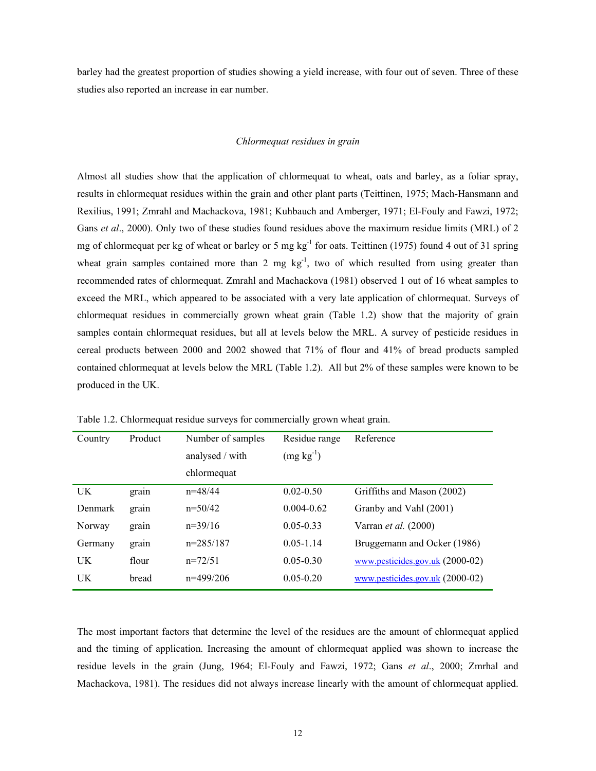barley had the greatest proportion of studies showing a yield increase, with four out of seven. Three of these studies also reported an increase in ear number.

#### *Chlormequat residues in grain*

Almost all studies show that the application of chlormequat to wheat, oats and barley, as a foliar spray, results in chlormequat residues within the grain and other plant parts (Teittinen, 1975; Mach-Hansmann and Rexilius, 1991; Zmrahl and Machackova, 1981; Kuhbauch and Amberger, 1971; El-Fouly and Fawzi, 1972; Gans *et al.*, 2000). Only two of these studies found residues above the maximum residue limits (MRL) of 2 mg of chlormequat per kg of wheat or barley or 5 mg  $kg^{-1}$  for oats. Teittinen (1975) found 4 out of 31 spring wheat grain samples contained more than 2 mg  $kg^{-1}$ , two of which resulted from using greater than recommended rates of chlormequat. Zmrahl and Machackova (1981) observed 1 out of 16 wheat samples to exceed the MRL, which appeared to be associated with a very late application of chlormequat. Surveys of chlormequat residues in commercially grown wheat grain (Table 1.2) show that the majority of grain samples contain chlormequat residues, but all at levels below the MRL. A survey of pesticide residues in cereal products between 2000 and 2002 showed that 71% of flour and 41% of bread products sampled contained chlormequat at levels below the MRL (Table 1.2). All but 2% of these samples were known to be produced in the UK.

| Country        | Product | Number of samples | Residue range  | Reference                                            |
|----------------|---------|-------------------|----------------|------------------------------------------------------|
|                |         | analysed / with   | $(mg kg^{-1})$ |                                                      |
|                |         | chlormequat       |                |                                                      |
| UK.            | grain   | $n=48/44$         | $0.02 - 0.50$  | Griffiths and Mason (2002)                           |
| <b>Denmark</b> | grain   | $n=50/42$         | $0.004 - 0.62$ | Granby and Vahl (2001)                               |
| Norway         | grain   | $n=39/16$         | $0.05 - 0.33$  | Varran <i>et al.</i> (2000)                          |
| Germany        | grain   | $n=285/187$       | $0.05 - 1.14$  | Bruggemann and Ocker (1986)                          |
| UK             | flour   | $n=72/51$         | $0.05 - 0.30$  | $\underline{\text{www.pesticides.gov.uk}}$ (2000-02) |
| UK             | bread   | $n=499/206$       | $0.05 - 0.20$  | www.pesticides.gov.uk (2000-02)                      |

Table 1.2. Chlormequat residue surveys for commercially grown wheat grain.

The most important factors that determine the level of the residues are the amount of chlormequat applied and the timing of application. Increasing the amount of chlormequat applied was shown to increase the residue levels in the grain (Jung, 1964; El-Fouly and Fawzi, 1972; Gans *et al*., 2000; Zmrhal and Machackova, 1981). The residues did not always increase linearly with the amount of chlormequat applied.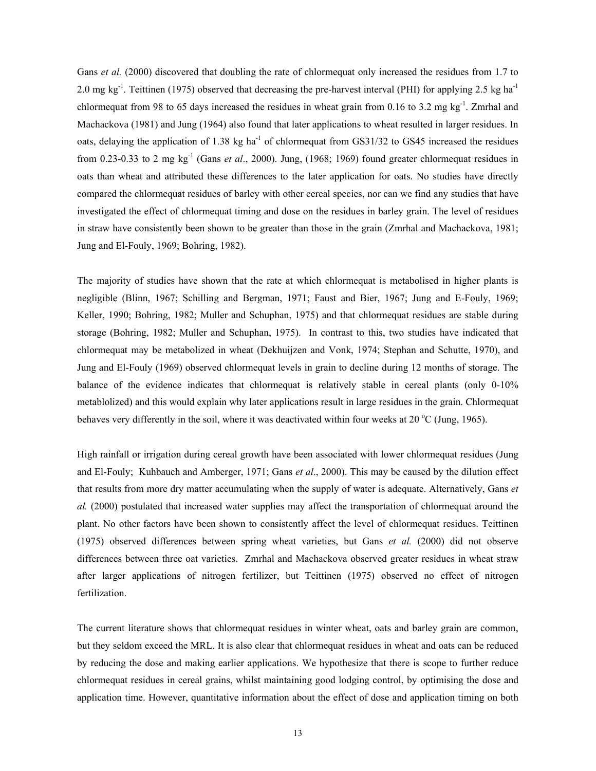Gans *et al.* (2000) discovered that doubling the rate of chlormequat only increased the residues from 1.7 to 2.0 mg kg<sup>-1</sup>. Teittinen (1975) observed that decreasing the pre-harvest interval (PHI) for applying 2.5 kg ha<sup>-1</sup> chlormequat from 98 to 65 days increased the residues in wheat grain from 0.16 to 3.2 mg kg<sup>-1</sup>. Zmrhal and Machackova (1981) and Jung (1964) also found that later applications to wheat resulted in larger residues. In oats, delaying the application of 1.38 kg ha<sup>-1</sup> of chlormequat from GS31/32 to GS45 increased the residues from 0.23-0.33 to 2 mg kg-1 (Gans *et al*., 2000). Jung, (1968; 1969) found greater chlormequat residues in oats than wheat and attributed these differences to the later application for oats. No studies have directly compared the chlormequat residues of barley with other cereal species, nor can we find any studies that have investigated the effect of chlormequat timing and dose on the residues in barley grain. The level of residues in straw have consistently been shown to be greater than those in the grain (Zmrhal and Machackova, 1981; Jung and El-Fouly, 1969; Bohring, 1982).

The majority of studies have shown that the rate at which chlormequat is metabolised in higher plants is negligible (Blinn, 1967; Schilling and Bergman, 1971; Faust and Bier, 1967; Jung and E-Fouly, 1969; Keller, 1990; Bohring, 1982; Muller and Schuphan, 1975) and that chlormequat residues are stable during storage (Bohring, 1982; Muller and Schuphan, 1975). In contrast to this, two studies have indicated that chlormequat may be metabolized in wheat (Dekhuijzen and Vonk, 1974; Stephan and Schutte, 1970), and Jung and El-Fouly (1969) observed chlormequat levels in grain to decline during 12 months of storage. The balance of the evidence indicates that chlormequat is relatively stable in cereal plants (only 0-10% metablolized) and this would explain why later applications result in large residues in the grain. Chlormequat behaves very differently in the soil, where it was deactivated within four weeks at 20  $\rm{°C}$  (Jung, 1965).

High rainfall or irrigation during cereal growth have been associated with lower chlormequat residues (Jung and El-Fouly; Kuhbauch and Amberger, 1971; Gans *et al*., 2000). This may be caused by the dilution effect that results from more dry matter accumulating when the supply of water is adequate. Alternatively, Gans *et al.* (2000) postulated that increased water supplies may affect the transportation of chlormequat around the plant. No other factors have been shown to consistently affect the level of chlormequat residues. Teittinen (1975) observed differences between spring wheat varieties, but Gans *et al.* (2000) did not observe differences between three oat varieties. Zmrhal and Machackova observed greater residues in wheat straw after larger applications of nitrogen fertilizer, but Teittinen (1975) observed no effect of nitrogen fertilization.

The current literature shows that chlormequat residues in winter wheat, oats and barley grain are common, but they seldom exceed the MRL. It is also clear that chlormequat residues in wheat and oats can be reduced by reducing the dose and making earlier applications. We hypothesize that there is scope to further reduce chlormequat residues in cereal grains, whilst maintaining good lodging control, by optimising the dose and application time. However, quantitative information about the effect of dose and application timing on both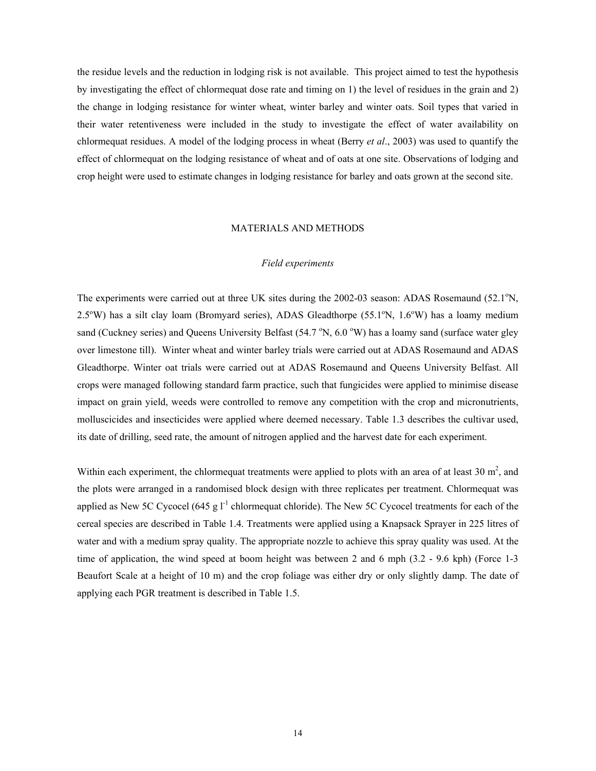the residue levels and the reduction in lodging risk is not available. This project aimed to test the hypothesis by investigating the effect of chlormequat dose rate and timing on 1) the level of residues in the grain and 2) the change in lodging resistance for winter wheat, winter barley and winter oats. Soil types that varied in their water retentiveness were included in the study to investigate the effect of water availability on chlormequat residues. A model of the lodging process in wheat (Berry *et al*., 2003) was used to quantify the effect of chlormequat on the lodging resistance of wheat and of oats at one site. Observations of lodging and crop height were used to estimate changes in lodging resistance for barley and oats grown at the second site.

## MATERIALS AND METHODS

# *Field experiments*

The experiments were carried out at three UK sites during the 2002-03 season: ADAS Rosemaund (52.1°N, 2.5°W) has a silt clay loam (Bromyard series), ADAS Gleadthorpe (55.1°N, 1.6°W) has a loamy medium sand (Cuckney series) and Queens University Belfast (54.7 °N, 6.0 °W) has a loamy sand (surface water gley over limestone till). Winter wheat and winter barley trials were carried out at ADAS Rosemaund and ADAS Gleadthorpe. Winter oat trials were carried out at ADAS Rosemaund and Queens University Belfast. All crops were managed following standard farm practice, such that fungicides were applied to minimise disease impact on grain yield, weeds were controlled to remove any competition with the crop and micronutrients, molluscicides and insecticides were applied where deemed necessary. Table 1.3 describes the cultivar used, its date of drilling, seed rate, the amount of nitrogen applied and the harvest date for each experiment.

Within each experiment, the chlormequat treatments were applied to plots with an area of at least  $30 \text{ m}^2$ , and the plots were arranged in a randomised block design with three replicates per treatment. Chlormequat was applied as New 5C Cycocel (645 g  $I<sup>-1</sup>$  chlormequat chloride). The New 5C Cycocel treatments for each of the cereal species are described in Table 1.4. Treatments were applied using a Knapsack Sprayer in 225 litres of water and with a medium spray quality. The appropriate nozzle to achieve this spray quality was used. At the time of application, the wind speed at boom height was between 2 and 6 mph (3.2 - 9.6 kph) (Force 1-3 Beaufort Scale at a height of 10 m) and the crop foliage was either dry or only slightly damp. The date of applying each PGR treatment is described in Table 1.5.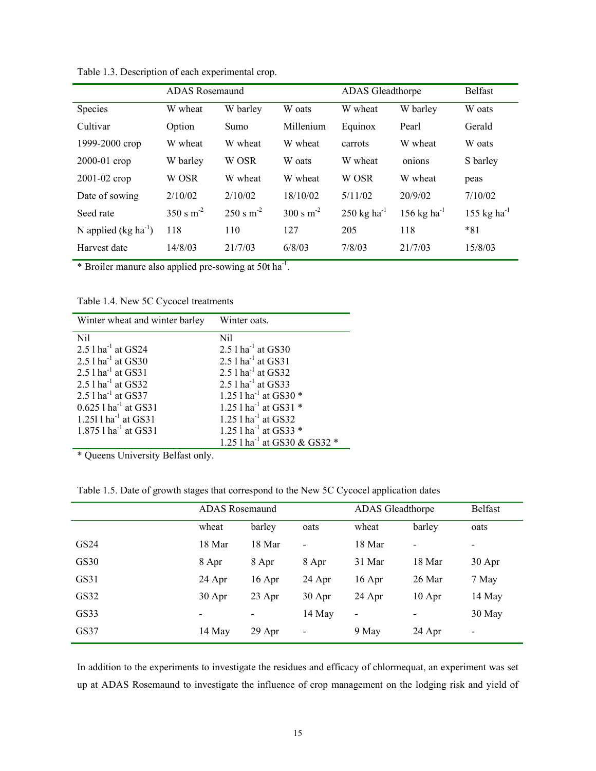|                          | <b>ADAS</b> Rosemaund  |                        | <b>ADAS</b> Gleadthorpe |                                  | <b>Belfast</b>                   |                         |
|--------------------------|------------------------|------------------------|-------------------------|----------------------------------|----------------------------------|-------------------------|
| Species                  | W wheat                | W barley               | W oats                  | W wheat                          | W barley                         | W oats                  |
| Cultivar                 | Option                 | Sumo                   | Millenium               | Equinox                          | Pearl                            | Gerald                  |
| 1999-2000 crop           | W wheat                | W wheat                | W wheat                 | carrots                          | W wheat                          | W oats                  |
| 2000-01 crop             | W barley               | W OSR                  | W oats                  | W wheat                          | onions                           | S barley                |
| 2001-02 crop             | W OSR                  | W wheat                | W wheat                 | W OSR                            | W wheat                          | peas                    |
| Date of sowing           | 2/10/02                | 2/10/02                | 18/10/02                | 5/11/02                          | 20/9/02                          | 7/10/02                 |
| Seed rate                | $350 \text{ s m}^{-2}$ | $250 \text{ s m}^{-2}$ | $300 \text{ s m}^{-2}$  | $250 \text{ kg} \text{ ha}^{-1}$ | $156 \text{ kg} \text{ ha}^{-1}$ | 155 kg ha <sup>-1</sup> |
| N applied $(kg ha^{-1})$ | 118                    | 110                    | 127                     | 205                              | 118                              | $*81$                   |
| Harvest date             | 14/8/03                | 21/7/03                | 6/8/03                  | 7/8/03                           | 21/7/03                          | 15/8/03                 |

Table 1.3. Description of each experimental crop.

\* Broiler manure also applied pre-sowing at 50t ha-1.

Table 1.4. New 5C Cycocel treatments

| Winter wheat and winter barley     | Winter oats.                             |
|------------------------------------|------------------------------------------|
| Nil                                | Nil                                      |
| 2.5 $1$ ha <sup>-1</sup> at GS24   | $2.51$ ha <sup>-1</sup> at GS30          |
| 2.5 $1$ ha <sup>-1</sup> at GS30   | 2.5 $1$ ha <sup>-1</sup> at GS31         |
| 2.5 $1$ ha <sup>-1</sup> at GS31   | $2.5$ l ha <sup>-1</sup> at GS32         |
| $2.5$ l ha <sup>-1</sup> at GS32   | $2.5$ l ha <sup>-1</sup> at GS33         |
| 2.5 $1$ ha <sup>-1</sup> at GS37   | 1.25 $1$ ha <sup>-1</sup> at GS30 $*$    |
| $0.625$ 1 ha <sup>-1</sup> at GS31 | 1.25 $1$ ha <sup>-1</sup> at GS31 $*$    |
| 1.251 $1$ ha <sup>-1</sup> at GS31 | $1.25$ l ha <sup>-1</sup> at GS32        |
| $1.875$ 1 ha <sup>-1</sup> at GS31 | 1.25 $1$ ha <sup>-1</sup> at GS33 $*$    |
|                                    | 1.25 l ha <sup>-1</sup> at GS30 & GS32 * |

\* Queens University Belfast only.

Table 1.5. Date of growth stages that correspond to the New 5C Cycocel application dates

|             | <b>ADAS</b> Rosemaund    |          | <b>ADAS</b> Gleadthorpe  |                          | <b>Belfast</b>           |                          |
|-------------|--------------------------|----------|--------------------------|--------------------------|--------------------------|--------------------------|
|             | wheat                    | barley   | oats                     | wheat                    | barley                   | oats                     |
| GS24        | 18 Mar                   | 18 Mar   | $\overline{\phantom{a}}$ | 18 Mar                   | $\overline{\phantom{0}}$ | $\overline{\phantom{a}}$ |
| <b>GS30</b> | 8 Apr                    | 8 Apr    | 8 Apr                    | 31 Mar                   | 18 Mar                   | 30 Apr                   |
| GS31        | 24 Apr                   | $16$ Apr | 24 Apr                   | 16 Apr                   | 26 Mar                   | 7 May                    |
| GS32        | 30 Apr                   | 23 Apr   | 30 Apr                   | 24 Apr                   | $10$ Apr                 | 14 May                   |
| GS33        | $\overline{\phantom{a}}$ |          | 14 May                   | $\overline{\phantom{a}}$ | $\overline{\phantom{0}}$ | 30 May                   |
| GS37        | 14 May                   | 29 Apr   | -                        | 9 May                    | 24 Apr                   | $\overline{\phantom{a}}$ |

In addition to the experiments to investigate the residues and efficacy of chlormequat, an experiment was set up at ADAS Rosemaund to investigate the influence of crop management on the lodging risk and yield of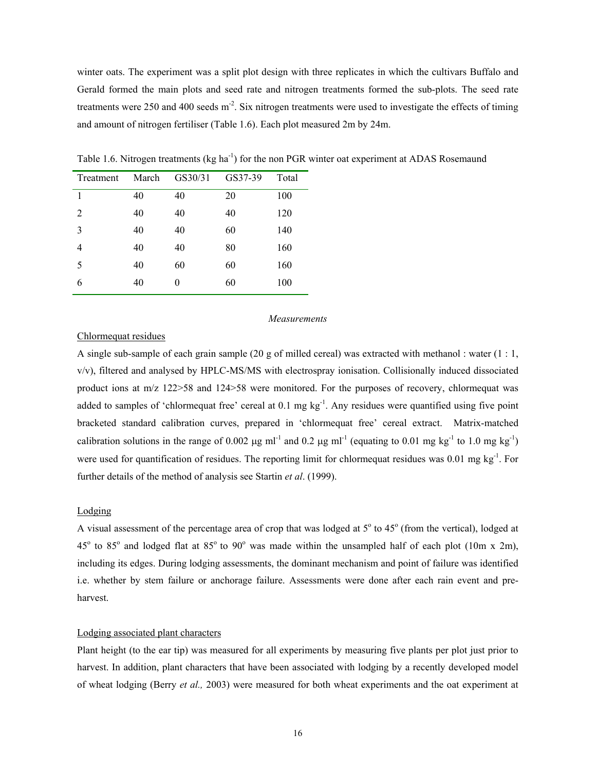winter oats. The experiment was a split plot design with three replicates in which the cultivars Buffalo and Gerald formed the main plots and seed rate and nitrogen treatments formed the sub-plots. The seed rate treatments were 250 and 400 seeds  $m<sup>2</sup>$ . Six nitrogen treatments were used to investigate the effects of timing and amount of nitrogen fertiliser (Table 1.6). Each plot measured 2m by 24m.

| Treatment      | March | GS30/31  | GS37-39 | Total |
|----------------|-------|----------|---------|-------|
| 1              | 40    | 40       | 20      | 100   |
| $\overline{2}$ | 40    | 40       | 40      | 120   |
| 3              | 40    | 40       | 60      | 140   |
| 4              | 40    | 40       | 80      | 160   |
| 5              | 40    | 60       | 60      | 160   |
| 6              | 40    | $\theta$ | 60      | 100   |

Table 1.6. Nitrogen treatments (kg ha<sup>-1</sup>) for the non PGR winter oat experiment at ADAS Rosemaund

#### *Measurements*

# Chlormequat residues

A single sub-sample of each grain sample (20 g of milled cereal) was extracted with methanol : water (1 : 1, v/v), filtered and analysed by HPLC-MS/MS with electrospray ionisation. Collisionally induced dissociated product ions at m/z 122>58 and 124>58 were monitored. For the purposes of recovery, chlormequat was added to samples of 'chlormequat free' cereal at  $0.1 \text{ mg kg}^{-1}$ . Any residues were quantified using five point bracketed standard calibration curves, prepared in 'chlormequat free' cereal extract. Matrix-matched calibration solutions in the range of 0.002  $\mu$ g ml<sup>-1</sup> and 0.2  $\mu$ g ml<sup>-1</sup> (equating to 0.01 mg kg<sup>-1</sup> to 1.0 mg kg<sup>-1</sup>) were used for quantification of residues. The reporting limit for chlormequat residues was 0.01 mg kg<sup>-1</sup>. For further details of the method of analysis see Startin *et al*. (1999).

#### Lodging

A visual assessment of the percentage area of crop that was lodged at  $5^\circ$  to  $45^\circ$  (from the vertical), lodged at 45 $\degree$  to 85 $\degree$  and lodged flat at 85 $\degree$  to 90 $\degree$  was made within the unsampled half of each plot (10m x 2m), including its edges. During lodging assessments, the dominant mechanism and point of failure was identified i.e. whether by stem failure or anchorage failure. Assessments were done after each rain event and preharvest.

#### Lodging associated plant characters

Plant height (to the ear tip) was measured for all experiments by measuring five plants per plot just prior to harvest. In addition, plant characters that have been associated with lodging by a recently developed model of wheat lodging (Berry *et al.,* 2003) were measured for both wheat experiments and the oat experiment at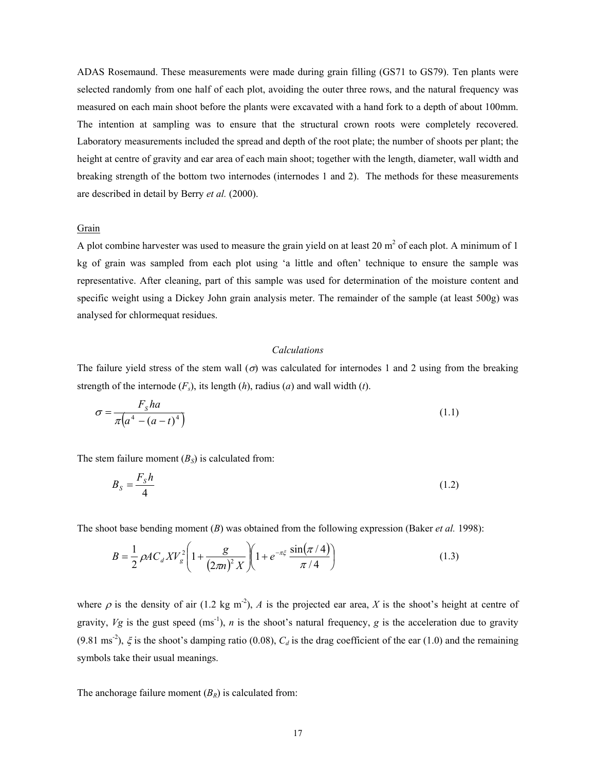ADAS Rosemaund. These measurements were made during grain filling (GS71 to GS79). Ten plants were selected randomly from one half of each plot, avoiding the outer three rows, and the natural frequency was measured on each main shoot before the plants were excavated with a hand fork to a depth of about 100mm. The intention at sampling was to ensure that the structural crown roots were completely recovered. Laboratory measurements included the spread and depth of the root plate; the number of shoots per plant; the height at centre of gravity and ear area of each main shoot; together with the length, diameter, wall width and breaking strength of the bottom two internodes (internodes 1 and 2). The methods for these measurements are described in detail by Berry *et al.* (2000).

#### Grain

A plot combine harvester was used to measure the grain yield on at least 20  $m<sup>2</sup>$  of each plot. A minimum of 1 kg of grain was sampled from each plot using 'a little and often' technique to ensure the sample was representative. After cleaning, part of this sample was used for determination of the moisture content and specific weight using a Dickey John grain analysis meter. The remainder of the sample (at least 500g) was analysed for chlormequat residues.

### *Calculations*

The failure yield stress of the stem wall  $(\sigma)$  was calculated for internodes 1 and 2 using from the breaking strength of the internode  $(F_s)$ , its length  $(h)$ , radius  $(a)$  and wall width  $(t)$ .

$$
\sigma = \frac{F_s h a}{\pi \left(a^4 - \left(a - t\right)^4\right)}\tag{1.1}
$$

The stem failure moment  $(B<sub>S</sub>)$  is calculated from:

$$
B_s = \frac{F_s h}{4} \tag{1.2}
$$

The shoot base bending moment (*B*) was obtained from the following expression (Baker *et al.* 1998):

$$
B = \frac{1}{2} \rho A C_d X V_g^2 \left( 1 + \frac{g}{(2\pi n)^2 X} \right) \left( 1 + e^{-\pi \xi} \frac{\sin(\pi / 4)}{\pi / 4} \right) \tag{1.3}
$$

where  $\rho$  is the density of air (1.2 kg m<sup>-2</sup>), *A* is the projected ear area, *X* is the shoot's height at centre of gravity,  $Vg$  is the gust speed (ms<sup>-1</sup>), *n* is the shoot's natural frequency, *g* is the acceleration due to gravity (9.81 ms<sup>-2</sup>),  $\xi$  is the shoot's damping ratio (0.08),  $C_d$  is the drag coefficient of the ear (1.0) and the remaining symbols take their usual meanings.

The anchorage failure moment  $(B_R)$  is calculated from: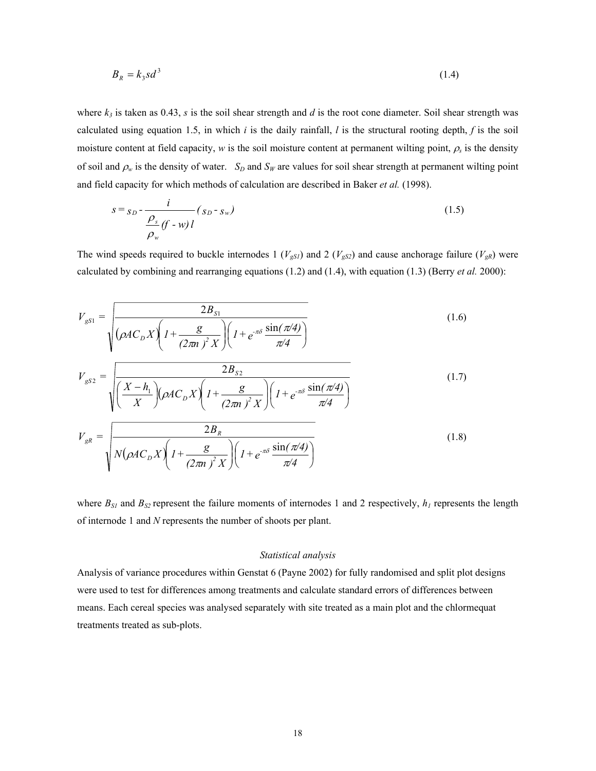$$
B_R = k_3 s d^3 \tag{1.4}
$$

where  $k_3$  is taken as 0.43, *s* is the soil shear strength and *d* is the root cone diameter. Soil shear strength was calculated using equation 1.5, in which  $i$  is the daily rainfall,  $l$  is the structural rooting depth,  $f$  is the soil moisture content at field capacity, *w* is the soil moisture content at permanent wilting point,  $\rho_s$  is the density of soil and  $\rho_w$  is the density of water. *S<sub>D</sub>* and *S<sub>W</sub>* are values for soil shear strength at permanent wilting point and field capacity for which methods of calculation are described in Baker *et al.* (1998).

$$
s = s_D - \frac{i}{\frac{\rho_s}{\rho_w}(f - w)l} (s_D - s_w)
$$
\n(1.5)

The wind speeds required to buckle internodes 1 ( $V_{gS1}$ ) and 2 ( $V_{gS2}$ ) and cause anchorage failure ( $V_{gR}$ ) were calculated by combining and rearranging equations (1.2) and (1.4), with equation (1.3) (Berry *et al.* 2000):

$$
V_{gS1} = \sqrt{\frac{2B_{S1}}{\left(\rho AC_D X \right) \left(1 + \frac{g}{(2\pi n)^2 X}\right) \left(1 + e^{-\pi \delta} \frac{\sin(\pi/4)}{\pi/4}\right)}}
$$
\n
$$
V_{gS2} = \sqrt{\frac{2B_{S2}}{\left(\frac{X - h_1}{X}\right) \left(\rho AC_D X \right) \left(1 + \frac{g}{(2\pi n)^2 X}\right) \left(1 + e^{-\pi \delta} \frac{\sin(\pi/4)}{\pi/4}\right)}}
$$
\n
$$
V_{S1} = \sqrt{\frac{2B_{S1}}{\pi/4}}
$$
\n(1.7)

$$
V_{gR} = \sqrt{\frac{2D_R}{N(\rho A C_D X) \left(1 + \frac{g}{(2\pi n)^2 X}\right) \left(1 + e^{-\pi \delta} \frac{\sin(\pi/4)}{\pi/4}\right)}}\tag{1.8}
$$

where  $B_{SI}$  and  $B_{SI}$  represent the failure moments of internodes 1 and 2 respectively,  $h_I$  represents the length of internode 1 and *N* represents the number of shoots per plant.

#### *Statistical analysis*

Analysis of variance procedures within Genstat 6 (Payne 2002) for fully randomised and split plot designs were used to test for differences among treatments and calculate standard errors of differences between means. Each cereal species was analysed separately with site treated as a main plot and the chlormequat treatments treated as sub-plots.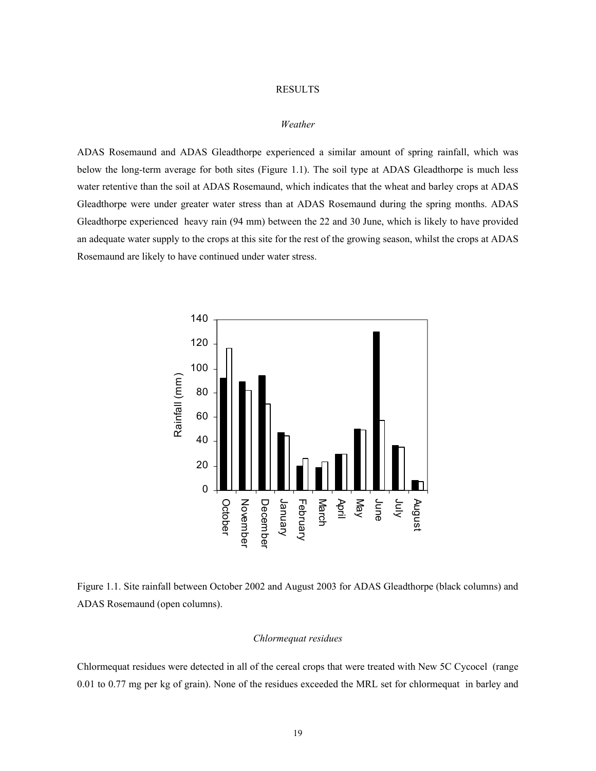# RESULTS

# *Weather*

ADAS Rosemaund and ADAS Gleadthorpe experienced a similar amount of spring rainfall, which was below the long-term average for both sites (Figure 1.1). The soil type at ADAS Gleadthorpe is much less water retentive than the soil at ADAS Rosemaund, which indicates that the wheat and barley crops at ADAS Gleadthorpe were under greater water stress than at ADAS Rosemaund during the spring months. ADAS Gleadthorpe experienced heavy rain (94 mm) between the 22 and 30 June, which is likely to have provided an adequate water supply to the crops at this site for the rest of the growing season, whilst the crops at ADAS Rosemaund are likely to have continued under water stress.



Figure 1.1. Site rainfall between October 2002 and August 2003 for ADAS Gleadthorpe (black columns) and ADAS Rosemaund (open columns).

#### *Chlormequat residues*

Chlormequat residues were detected in all of the cereal crops that were treated with New 5C Cycocel (range 0.01 to 0.77 mg per kg of grain). None of the residues exceeded the MRL set for chlormequat in barley and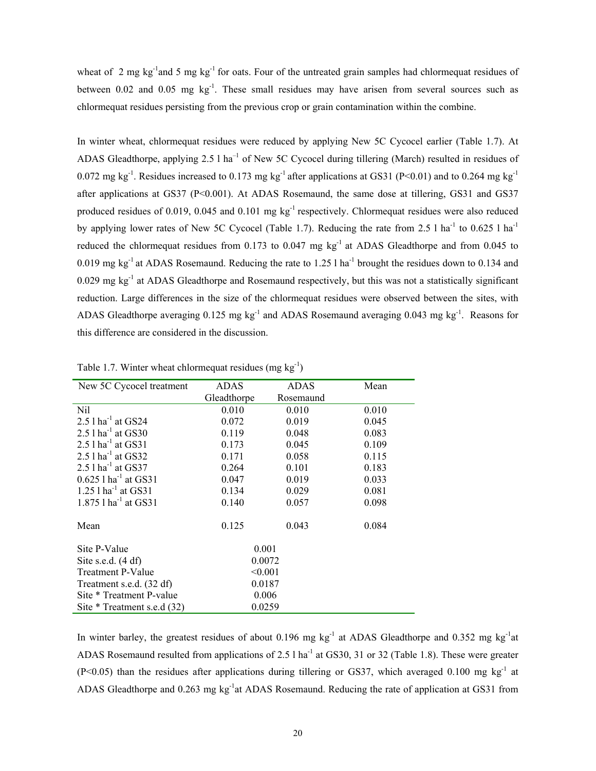wheat of 2 mg kg<sup>-1</sup> and 5 mg kg<sup>-1</sup> for oats. Four of the untreated grain samples had chlormequat residues of between  $0.02$  and  $0.05$  mg kg<sup>-1</sup>. These small residues may have arisen from several sources such as chlormequat residues persisting from the previous crop or grain contamination within the combine.

In winter wheat, chlormequat residues were reduced by applying New 5C Cycocel earlier (Table 1.7). At ADAS Gleadthorpe, applying 2.5 l ha<sup>-1</sup> of New 5C Cycocel during tillering (March) resulted in residues of 0.072 mg kg<sup>-1</sup>. Residues increased to 0.173 mg kg<sup>-1</sup> after applications at GS31 (P<0.01) and to 0.264 mg kg<sup>-1</sup> after applications at GS37 (P<0.001). At ADAS Rosemaund, the same dose at tillering, GS31 and GS37 produced residues of 0.019, 0.045 and 0.101 mg kg<sup>-1</sup> respectively. Chlormequat residues were also reduced by applying lower rates of New 5C Cycocel (Table 1.7). Reducing the rate from 2.5 l ha<sup>-1</sup> to 0.625 l ha<sup>-1</sup> reduced the chlormequat residues from 0.173 to 0.047 mg kg<sup>-1</sup> at ADAS Gleadthorpe and from 0.045 to 0.019 mg kg<sup>-1</sup> at ADAS Rosemaund. Reducing the rate to 1.25 l ha<sup>-1</sup> brought the residues down to 0.134 and 0.029 mg kg<sup>-1</sup> at ADAS Gleadthorpe and Rosemaund respectively, but this was not a statistically significant reduction. Large differences in the size of the chlormequat residues were observed between the sites, with ADAS Gleadthorpe averaging  $0.125 \text{ mg kg}^{-1}$  and ADAS Rosemaund averaging  $0.043 \text{ mg kg}^{-1}$ . Reasons for this difference are considered in the discussion.

| New 5C Cycocel treatment           | ADAS        | <b>ADAS</b> | Mean  |
|------------------------------------|-------------|-------------|-------|
|                                    | Gleadthorpe | Rosemaund   |       |
| Nil                                | 0.010       | 0.010       | 0.010 |
| 2.5 $1 \text{ ha}^{-1}$ at GS24    | 0.072       | 0.019       | 0.045 |
| $2.5$ 1 ha <sup>-1</sup> at GS30   | 0.119       | 0.048       | 0.083 |
| 2.5 $1$ ha <sup>-1</sup> at GS31   | 0.173       | 0.045       | 0.109 |
| $2.5$ l ha <sup>-1</sup> at GS32   | 0.171       | 0.058       | 0.115 |
| 2.5 $1 \text{ ha}^{-1}$ at GS37    | 0.264       | 0.101       | 0.183 |
| $0.625$ 1 ha <sup>-1</sup> at GS31 | 0.047       | 0.019       | 0.033 |
| 1.25 $1$ ha <sup>-1</sup> at GS31  | 0.134       | 0.029       | 0.081 |
| 1.875 $1$ ha <sup>-1</sup> at GS31 | 0.140       | 0.057       | 0.098 |
| Mean                               | 0.125       | 0.043       | 0.084 |
| Site P-Value                       | 0.001       |             |       |
| Site s.e.d. $(4 df)$               | 0.0072      |             |       |
| <b>Treatment P-Value</b>           | < 0.001     |             |       |
| Treatment s.e.d. (32 df)           | 0.0187      |             |       |
| Site * Treatment P-value           | 0.006       |             |       |
| Site * Treatment s.e.d (32)        | 0.0259      |             |       |

Table 1.7. Winter wheat chlormequat residues (mg  $kg^{-1}$ )

In winter barley, the greatest residues of about  $0.196$  mg kg<sup>-1</sup> at ADAS Gleadthorpe and  $0.352$  mg kg<sup>-1</sup>at ADAS Rosemaund resulted from applications of 2.5 l ha<sup>-1</sup> at GS30, 31 or 32 (Table 1.8). These were greater  $(P<0.05)$  than the residues after applications during tillering or GS37, which averaged 0.100 mg kg<sup>-1</sup> at ADAS Gleadthorpe and 0.263 mg kg<sup>-1</sup>at ADAS Rosemaund. Reducing the rate of application at GS31 from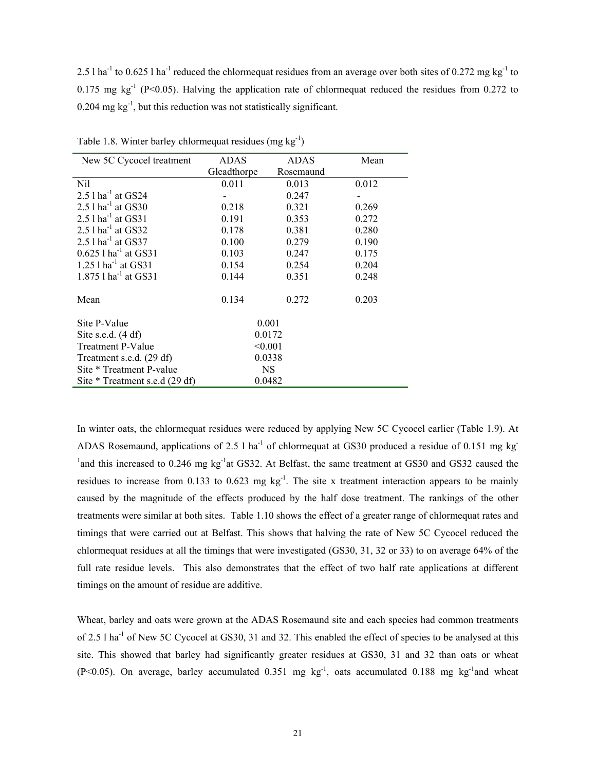2.5 l ha<sup>-1</sup> to 0.625 l ha<sup>-1</sup> reduced the chlormequat residues from an average over both sites of 0.272 mg kg<sup>-1</sup> to 0.175 mg  $kg^{-1}$  (P<0.05). Halving the application rate of chlormequat reduced the residues from 0.272 to  $0.204$  mg kg<sup>-1</sup>, but this reduction was not statistically significant.

| New 5C Cycocel treatment           | <b>ADAS</b> | <b>ADAS</b> | Mean  |
|------------------------------------|-------------|-------------|-------|
|                                    | Gleadthorpe | Rosemaund   |       |
| Nil                                | 0.011       | 0.013       | 0.012 |
| 2.5 $1$ ha <sup>-1</sup> at GS24   |             | 0.247       |       |
| 2.5 $1 \text{ ha}^{-1}$ at GS30    | 0.218       | 0.321       | 0.269 |
| $2.51$ ha <sup>-1</sup> at GS31    | 0.191       | 0.353       | 0.272 |
| $2.5$ l ha <sup>-1</sup> at GS32   | 0.178       | 0.381       | 0.280 |
| 2.5 $1$ ha <sup>-1</sup> at GS37   | 0.100       | 0.279       | 0.190 |
| $0.625$ 1 ha <sup>-1</sup> at GS31 | 0.103       | 0.247       | 0.175 |
| $1.25$ l ha <sup>-1</sup> at GS31  | 0.154       | 0.254       | 0.204 |
| 1.875 $1$ ha <sup>-1</sup> at GS31 | 0.144       | 0.351       | 0.248 |
|                                    |             |             |       |
| Mean                               | 0.134       | 0.272       | 0.203 |
|                                    |             |             |       |
| Site P-Value                       |             | 0.001       |       |
| Site s.e.d. $(4 df)$               |             | 0.0172      |       |
| Treatment P-Value                  | < 0.001     |             |       |
| Treatment s.e.d. (29 df)           |             | 0.0338      |       |
| Site * Treatment P-value           |             | <b>NS</b>   |       |
| Site * Treatment s.e.d (29 df)     |             | 0.0482      |       |

Table 1.8. Winter barley chlormequat residues (mg  $kg^{-1}$ )

In winter oats, the chlormequat residues were reduced by applying New 5C Cycocel earlier (Table 1.9). At ADAS Rosemaund, applications of 2.5 l ha<sup>-1</sup> of chlormequat at GS30 produced a residue of 0.151 mg kg<sup>-1</sup> <sup>1</sup> and this increased to 0.246 mg kg<sup>-1</sup> at GS32. At Belfast, the same treatment at GS30 and GS32 caused the residues to increase from 0.133 to 0.623 mg  $kg^{-1}$ . The site x treatment interaction appears to be mainly caused by the magnitude of the effects produced by the half dose treatment. The rankings of the other treatments were similar at both sites. Table 1.10 shows the effect of a greater range of chlormequat rates and timings that were carried out at Belfast. This shows that halving the rate of New 5C Cycocel reduced the chlormequat residues at all the timings that were investigated (GS30, 31, 32 or 33) to on average 64% of the full rate residue levels. This also demonstrates that the effect of two half rate applications at different timings on the amount of residue are additive.

Wheat, barley and oats were grown at the ADAS Rosemaund site and each species had common treatments of 2.5 l ha<sup>-1</sup> of New 5C Cycocel at GS30, 31 and 32. This enabled the effect of species to be analysed at this site. This showed that barley had significantly greater residues at GS30, 31 and 32 than oats or wheat (P<0.05). On average, barley accumulated  $0.351$  mg kg<sup>-1</sup>, oats accumulated  $0.188$  mg kg<sup>-1</sup>and wheat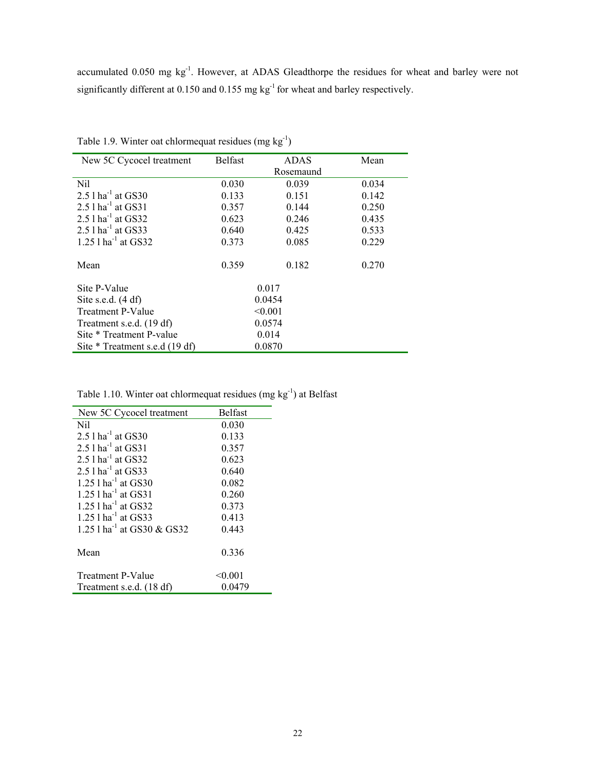accumulated 0.050 mg kg-1. However, at ADAS Gleadthorpe the residues for wheat and barley were not significantly different at 0.150 and 0.155 mg kg<sup>-1</sup> for wheat and barley respectively.

| New 5C Cycocel treatment          | <b>Belfast</b> | <b>ADAS</b> | Mean  |
|-----------------------------------|----------------|-------------|-------|
|                                   |                | Rosemaund   |       |
| Nil                               | 0.030          | 0.039       | 0.034 |
| $2.51$ ha <sup>-1</sup> at GS30   | 0.133          | 0.151       | 0.142 |
| $2.51$ ha <sup>-1</sup> at GS31   | 0.357          | 0.144       | 0.250 |
| 2.5 $1$ ha <sup>-1</sup> at GS32  | 0.623          | 0.246       | 0.435 |
| $2.5$ l ha <sup>-1</sup> at GS33  | 0.640          | 0.425       | 0.533 |
| $1.25$ l ha <sup>-1</sup> at GS32 | 0.373          | 0.085       | 0.229 |
|                                   |                |             |       |
| Mean                              | 0.359          | 0.182       | 0.270 |
|                                   |                |             |       |
| Site P-Value                      |                | 0.017       |       |
| Site s.e.d. $(4 df)$              | 0.0454         |             |       |
| <b>Treatment P-Value</b>          | < 0.001        |             |       |
| Treatment s.e.d. (19 df)          |                | 0.0574      |       |
| Site * Treatment P-value          | 0.014          |             |       |
| Site * Treatment s.e.d (19 df)    |                | 0.0870      |       |

Table 1.9. Winter oat chlormequat residues  $(mg kg<sup>-1</sup>)$ 

Table 1.10. Winter oat chlormequat residues (mg kg-1) at Belfast

| New 5C Cycocel treatment                 | <b>Belfast</b> |
|------------------------------------------|----------------|
| Nil                                      | 0.030          |
| $2.5$ 1 ha <sup>-1</sup> at GS30         | 0.133          |
| 2.5 $1$ ha <sup>-1</sup> at GS31         | 0.357          |
| 2.5 $1$ ha <sup>-1</sup> at GS32         | 0.623          |
| 2.5 $1$ ha <sup>-1</sup> at GS33         | 0.640          |
| 1.25 $1$ ha <sup>-1</sup> at GS30        | 0.082          |
| 1.25 $1 \text{ ha}^{-1}$ at GS31         | 0.260          |
| 1.25 $1$ ha <sup>-1</sup> at GS32        | 0.373          |
| 1.25 $1$ ha <sup>-1</sup> at GS33        | 0.413          |
| 1.25 $1$ ha <sup>-1</sup> at GS30 & GS32 | 0.443          |
| Mean                                     | 0.336          |
| <b>Treatment P-Value</b>                 | < 0.001        |
| Treatment s.e.d. (18 df)                 | 0.0479         |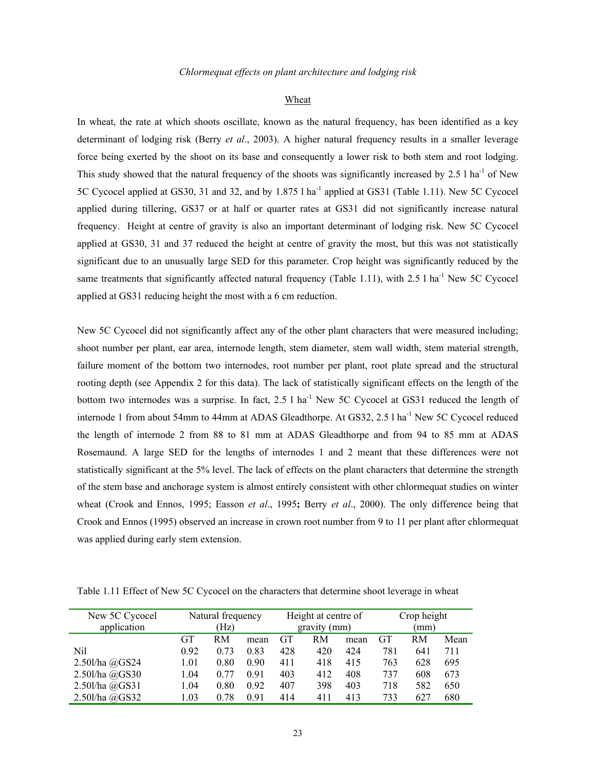#### Wheat

In wheat, the rate at which shoots oscillate, known as the natural frequency, has been identified as a key determinant of lodging risk (Berry *et al*., 2003). A higher natural frequency results in a smaller leverage force being exerted by the shoot on its base and consequently a lower risk to both stem and root lodging. This study showed that the natural frequency of the shoots was significantly increased by 2.5 l ha<sup>-1</sup> of New 5C Cycocel applied at GS30, 31 and 32, and by 1.875 l ha<sup>-1</sup> applied at GS31 (Table 1.11). New 5C Cycocel applied during tillering, GS37 or at half or quarter rates at GS31 did not significantly increase natural frequency. Height at centre of gravity is also an important determinant of lodging risk. New 5C Cycocel applied at GS30, 31 and 37 reduced the height at centre of gravity the most, but this was not statistically significant due to an unusually large SED for this parameter. Crop height was significantly reduced by the same treatments that significantly affected natural frequency (Table 1.11), with  $2.5$  l ha<sup>-1</sup> New 5C Cycocel applied at GS31 reducing height the most with a 6 cm reduction.

New 5C Cycocel did not significantly affect any of the other plant characters that were measured including; shoot number per plant, ear area, internode length, stem diameter, stem wall width, stem material strength, failure moment of the bottom two internodes, root number per plant, root plate spread and the structural rooting depth (see Appendix 2 for this data). The lack of statistically significant effects on the length of the bottom two internodes was a surprise. In fact, 2.5 l ha<sup>-1</sup> New 5C Cycocel at GS31 reduced the length of internode 1 from about 54mm to 44mm at ADAS Gleadthorpe. At GS32, 2.5 l ha<sup>-1</sup> New 5C Cycocel reduced the length of internode 2 from 88 to 81 mm at ADAS Gleadthorpe and from 94 to 85 mm at ADAS Rosemaund. A large SED for the lengths of internodes 1 and 2 meant that these differences were not statistically significant at the 5% level. The lack of effects on the plant characters that determine the strength of the stem base and anchorage system is almost entirely consistent with other chlormequat studies on winter wheat (Crook and Ennos, 1995; Easson *et al*., 1995**;** Berry *et al*., 2000). The only difference being that Crook and Ennos (1995) observed an increase in crown root number from 9 to 11 per plant after chlormequat was applied during early stem extension.

Table 1.11 Effect of New 5C Cycocel on the characters that determine shoot leverage in wheat

| New 5C Cycocel | Natural frequency |      |      | Height at centre of |     |      | Crop height |     |      |  |
|----------------|-------------------|------|------|---------------------|-----|------|-------------|-----|------|--|
| application    |                   | (Hz) |      | gravity (mm)        |     |      |             | (mm |      |  |
|                | <b>GT</b>         | RM   | mean | GT                  | RM  | mean | GT          | RM  | Mean |  |
| Nil            | 0.92              | 0.73 | 0.83 | 428                 | 420 | 424  | 781         | 641 | 711  |  |
| 2.50l/ha @GS24 | 1.01              | 0.80 | 0.90 | 411                 | 418 | 415  | 763         | 628 | 695  |  |
| 2.50l/ha @GS30 | 1.04              | 0.77 | 0.91 | 403                 | 412 | 408  | 737         | 608 | 673  |  |
| 2.50l/ha @GS31 | 1.04              | 0.80 | 0.92 | 407                 | 398 | 403  | 718         | 582 | 650  |  |
| 2.50l/ha @GS32 | 1.03              | 0.78 | 0.91 | 414                 | 411 | 413  | 733         | 627 | 680  |  |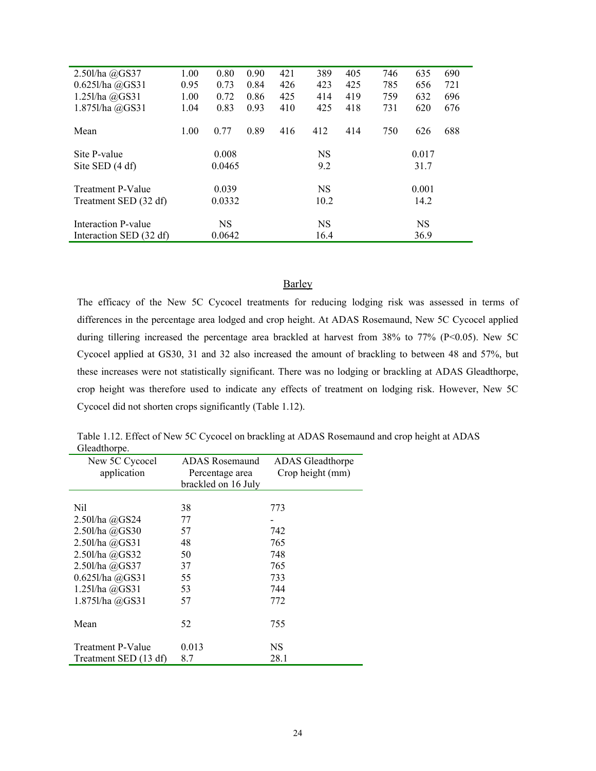| $2.50$ l/ha $@G$ S37     | 1.00 | 0.80      | 0.90 | 421 | 389       | 405 | 746 | 635       | 690 |
|--------------------------|------|-----------|------|-----|-----------|-----|-----|-----------|-----|
| $0.6251$ /ha $@GS31$     | 0.95 | 0.73      | 0.84 | 426 | 423       | 425 | 785 | 656       | 721 |
| 1.251/ha @GS31           | 1.00 | 0.72      | 0.86 | 425 | 414       | 419 | 759 | 632       | 696 |
| 1.875l/ha @GS31          | 1.04 | 0.83      | 0.93 | 410 | 425       | 418 | 731 | 620       | 676 |
|                          |      |           |      |     |           |     |     |           |     |
| Mean                     | 1.00 | 0.77      | 0.89 | 416 | 412       | 414 | 750 | 626       | 688 |
| Site P-value             |      | 0.008     |      |     | <b>NS</b> |     |     | 0.017     |     |
|                          |      |           |      |     |           |     |     |           |     |
| Site SED (4 df)          |      | 0.0465    |      |     | 9.2       |     |     | 31.7      |     |
| <b>Treatment P-Value</b> |      | 0.039     |      |     | <b>NS</b> |     |     | 0.001     |     |
|                          |      |           |      |     |           |     |     |           |     |
| Treatment SED (32 df)    |      | 0.0332    |      |     | 10.2      |     |     | 14.2      |     |
| Interaction P-value      |      | <b>NS</b> |      |     | <b>NS</b> |     |     | <b>NS</b> |     |
|                          |      |           |      |     |           |     |     |           |     |
| Interaction SED (32 df)  |      | 0.0642    |      |     | 16.4      |     |     | 36.9      |     |

# **Barley**

The efficacy of the New 5C Cycocel treatments for reducing lodging risk was assessed in terms of differences in the percentage area lodged and crop height. At ADAS Rosemaund, New 5C Cycocel applied during tillering increased the percentage area brackled at harvest from 38% to 77% (P<0.05). New 5C Cycocel applied at GS30, 31 and 32 also increased the amount of brackling to between 48 and 57%, but these increases were not statistically significant. There was no lodging or brackling at ADAS Gleadthorpe, crop height was therefore used to indicate any effects of treatment on lodging risk. However, New 5C Cycocel did not shorten crops significantly (Table 1.12).

Table 1.12. Effect of New 5C Cycocel on brackling at ADAS Rosemaund and crop height at ADAS Gleadthorpe.

| New 5C Cycocel<br>application                     | <b>ADAS</b> Rosemaund<br>Percentage area<br>brackled on 16 July | <b>ADAS</b> Gleadthorpe<br>Crop height (mm) |
|---------------------------------------------------|-----------------------------------------------------------------|---------------------------------------------|
| Nil<br>2.50l/ha @GS24                             | 38<br>77                                                        | 773                                         |
| 2.50l/ha @GS30                                    | 57                                                              | 742                                         |
| 2.50l/ha @GS31<br>2.50l/ha @GS32                  | 48<br>50                                                        | 765<br>748                                  |
| 2.50l/ha @GS37                                    | 37                                                              | 765                                         |
| $0.6251$ /ha $@GS31$                              | 55                                                              | 733                                         |
| 1.251/ha @GS31                                    | 53                                                              | 744                                         |
| 1.875l/ha @GS31                                   | 57                                                              | 772                                         |
| Mean                                              | 52                                                              | 755                                         |
| <b>Treatment P-Value</b><br>Treatment SED (13 df) | 0.013<br>8.7                                                    | NS.<br>28.1                                 |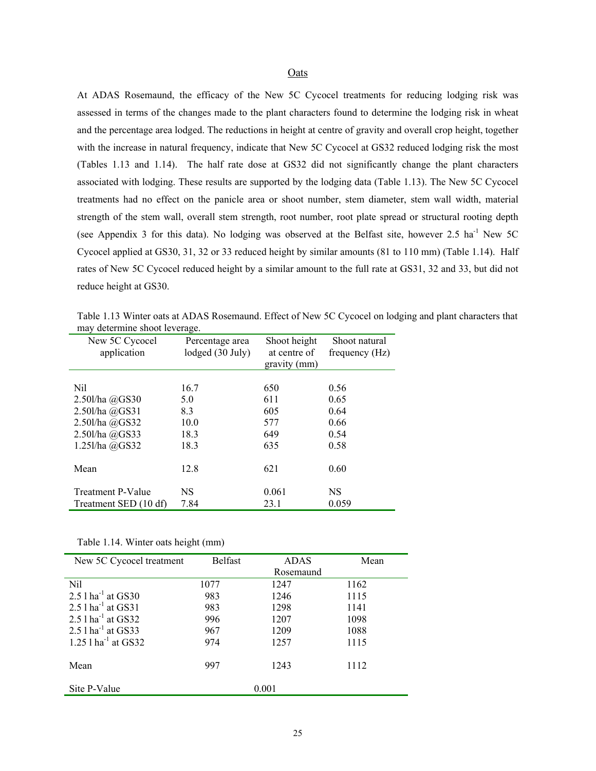# Oats

At ADAS Rosemaund, the efficacy of the New 5C Cycocel treatments for reducing lodging risk was assessed in terms of the changes made to the plant characters found to determine the lodging risk in wheat and the percentage area lodged. The reductions in height at centre of gravity and overall crop height, together with the increase in natural frequency, indicate that New 5C Cycocel at GS32 reduced lodging risk the most (Tables 1.13 and 1.14). The half rate dose at GS32 did not significantly change the plant characters associated with lodging. These results are supported by the lodging data (Table 1.13). The New 5C Cycocel treatments had no effect on the panicle area or shoot number, stem diameter, stem wall width, material strength of the stem wall, overall stem strength, root number, root plate spread or structural rooting depth (see Appendix 3 for this data). No lodging was observed at the Belfast site, however 2.5 ha<sup>-1</sup> New 5C Cycocel applied at GS30, 31, 32 or 33 reduced height by similar amounts (81 to 110 mm) (Table 1.14). Half rates of New 5C Cycocel reduced height by a similar amount to the full rate at GS31, 32 and 33, but did not reduce height at GS30.

Table 1.13 Winter oats at ADAS Rosemaund. Effect of New 5C Cycocel on lodging and plant characters that may determine shoot leverage.

| New 5C Cycocel<br>application | Percentage area<br>lodged (30 July) | Shoot height<br>at centre of<br>gravity (mm) | Shoot natural<br>frequency (Hz) |
|-------------------------------|-------------------------------------|----------------------------------------------|---------------------------------|
|                               |                                     |                                              |                                 |
| Nil                           | 16.7                                | 650                                          | 0.56                            |
| $2.50$ l/ha $@G$ S30          | 5.0                                 | 611                                          | 0.65                            |
| 2.50l/ha @GS31                | 8.3                                 | 605                                          | 0.64                            |
| 2.50l/ha @GS32                | 10.0                                | 577                                          | 0.66                            |
| 2.50l/ha @GS33                | 18.3                                | 649                                          | 0.54                            |
| 1.25l/ha @GS32                | 18.3                                | 635                                          | 0.58                            |
|                               |                                     |                                              |                                 |
| Mean                          | 12.8                                | 621                                          | 0.60                            |
|                               |                                     |                                              |                                 |
| <b>Treatment P-Value</b>      | NS                                  | 0.061                                        | <b>NS</b>                       |
| Treatment SED (10 df)         | 7.84                                | 23.1                                         | 0.059                           |

Table 1.14. Winter oats height (mm)

| New 5C Cycocel treatment          | <b>Belfast</b> | <b>ADAS</b> | Mean |
|-----------------------------------|----------------|-------------|------|
|                                   |                | Rosemaund   |      |
| Nil                               | 1077           | 1247        | 1162 |
| 2.5 $1$ ha <sup>-1</sup> at GS30  | 983            | 1246        | 1115 |
| 2.5 $1$ ha <sup>-1</sup> at GS31  | 983            | 1298        | 1141 |
| 2.5 $1$ ha <sup>-1</sup> at GS32  | 996            | 1207        | 1098 |
| 2.5 $1$ ha <sup>-1</sup> at GS33  | 967            | 1209        | 1088 |
| 1.25 $1$ ha <sup>-1</sup> at GS32 | 974            | 1257        | 1115 |
|                                   |                |             |      |
| Mean                              | 997            | 1243        | 1112 |
| Site P-Value                      |                | 0.001       |      |
|                                   |                |             |      |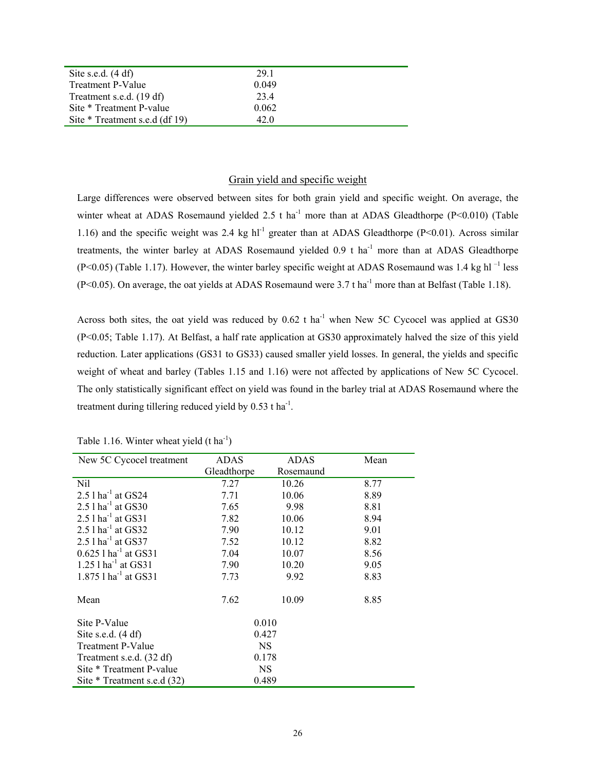| Site s.e.d. $(4 df)$           | 29.1  |  |
|--------------------------------|-------|--|
| <b>Treatment P-Value</b>       | 0.049 |  |
| Treatment s.e.d. (19 df)       | 23.4  |  |
| Site * Treatment P-value       | 0.062 |  |
| Site * Treatment s.e.d (df 19) | 42 O  |  |

# Grain yield and specific weight

Large differences were observed between sites for both grain yield and specific weight. On average, the winter wheat at ADAS Rosemaund yielded 2.5 t ha<sup>-1</sup> more than at ADAS Gleadthorpe (P<0.010) (Table 1.16) and the specific weight was 2.4 kg  $hl^{-1}$  greater than at ADAS Gleadthorpe (P<0.01). Across similar treatments, the winter barley at ADAS Rosemaund yielded 0.9 t ha<sup>-1</sup> more than at ADAS Gleadthorpe  $(P<0.05)$  (Table 1.17). However, the winter barley specific weight at ADAS Rosemaund was 1.4 kg hl<sup>-1</sup> less (P<0.05). On average, the oat yields at ADAS Rosemaund were 3.7 t ha<sup>-1</sup> more than at Belfast (Table 1.18).

Across both sites, the oat yield was reduced by  $0.62$  t ha<sup>-1</sup> when New 5C Cycocel was applied at GS30 (P<0.05; Table 1.17). At Belfast, a half rate application at GS30 approximately halved the size of this yield reduction. Later applications (GS31 to GS33) caused smaller yield losses. In general, the yields and specific weight of wheat and barley (Tables 1.15 and 1.16) were not affected by applications of New 5C Cycocel. The only statistically significant effect on yield was found in the barley trial at ADAS Rosemaund where the treatment during tillering reduced yield by  $0.53$  t ha<sup>-1</sup>.

| New 5C Cycocel treatment           | ADAS        | <b>ADAS</b> | Mean |
|------------------------------------|-------------|-------------|------|
|                                    | Gleadthorpe | Rosemaund   |      |
| Nil                                | 7.27        | 10.26       | 8.77 |
| $2.5$ l ha <sup>-1</sup> at GS24   | 7.71        | 10.06       | 8.89 |
| 2.5 $1$ ha <sup>-1</sup> at GS30   | 7.65        | 9.98        | 8.81 |
| $2.5$ 1 ha <sup>-1</sup> at GS31   | 7.82        | 10.06       | 8.94 |
| $2.5$ l ha <sup>-1</sup> at GS32   | 7.90        | 10.12       | 9.01 |
| 2.5 $1$ ha <sup>-1</sup> at GS37   | 7.52        | 10.12       | 8.82 |
| $0.625$ 1 ha <sup>-1</sup> at GS31 | 7.04        | 10.07       | 8.56 |
| 1.25 $1$ ha <sup>-1</sup> at GS31  | 7.90        | 10.20       | 9.05 |
| $1.875$ 1 ha <sup>-1</sup> at GS31 | 7.73        | 9.92        | 8.83 |
| Mean                               | 7.62        | 10.09       | 8.85 |
| Site P-Value                       | 0.010       |             |      |
| Site s.e.d. $(4 df)$               | 0.427       |             |      |
| Treatment P-Value                  | <b>NS</b>   |             |      |
| Treatment s.e.d. (32 df)           | 0.178       |             |      |
| Site * Treatment P-value           | <b>NS</b>   |             |      |
| Site * Treatment s.e.d (32)        |             | 0.489       |      |

Table 1.16. Winter wheat yield  $(t \text{ ha}^{-1})$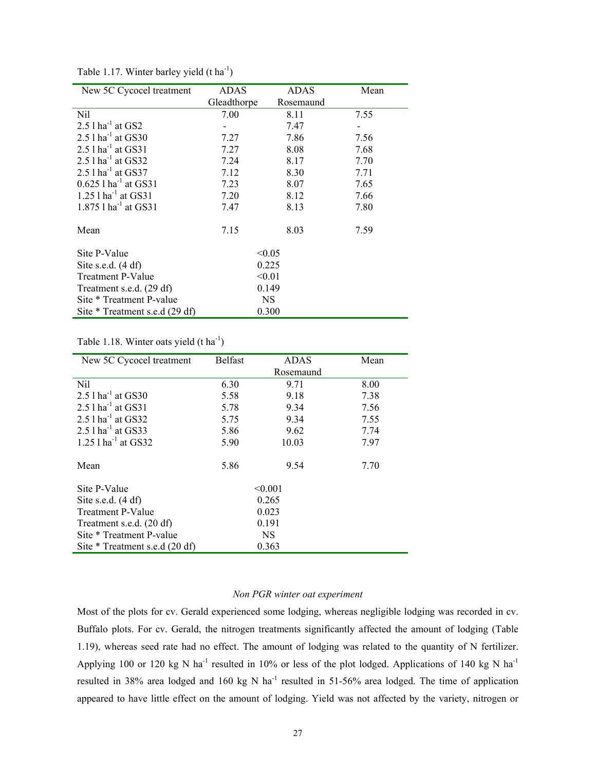| New 5C Cycocel treatment           | ADAS        | <b>ADAS</b> | Mean |
|------------------------------------|-------------|-------------|------|
|                                    | Gleadthorpe | Rosemaund   |      |
| Nil                                | 7.00        | 8.11        | 7.55 |
| $2.5$ l ha <sup>-1</sup> at GS2    |             | 7.47        |      |
| 2.5 $1$ ha <sup>-1</sup> at GS30   | 7.27        | 7.86        | 7.56 |
| $2.5$ l ha <sup>-1</sup> at GS31   | 7.27        | 8.08        | 7.68 |
| 2.5 $1$ ha <sup>-1</sup> at GS32   | 7.24        | 8.17        | 7.70 |
| 2.5 $1$ ha <sup>-1</sup> at GS37   | 7.12        | 8.30        | 7.71 |
| $0.625$ 1 ha <sup>-1</sup> at GS31 | 7.23        | 8.07        | 7.65 |
| 1.25 $1$ ha <sup>-1</sup> at GS31  | 7.20        | 8.12        | 7.66 |
| 1.875 $1$ ha <sup>-1</sup> at GS31 | 7.47        | 8.13        | 7.80 |
|                                    |             |             |      |
| Mean                               | 7.15        | 8.03        | 7.59 |
|                                    |             |             |      |
| Site P-Value                       |             | < 0.05      |      |
| Site s.e.d. $(4 df)$               |             | 0.225       |      |
| Treatment P-Value                  |             | < 0.01      |      |
| Treatment s.e.d. (29 df)           |             | 0.149       |      |
| Site * Treatment P-value           |             | NS.         |      |
| Site * Treatment s.e.d (29 df)     |             | 0.300       |      |

Table 1.17. Winter barley yield  $(t \text{ ha}^{-1})$ 

# Table 1.18. Winter oats yield  $(t \text{ ha}^{-1})$

| New 5C Cycocel treatment         | <b>Belfast</b> | <b>ADAS</b> | Mean |
|----------------------------------|----------------|-------------|------|
|                                  |                | Rosemaund   |      |
| Nil                              | 6.30           | 9.71        | 8.00 |
| 2.5 $1$ ha <sup>-1</sup> at GS30 | 5.58           | 9.18        | 7.38 |
| 2.5 $1$ ha <sup>-1</sup> at GS31 | 5.78           | 9.34        | 7.56 |
| $2.51$ ha <sup>-1</sup> at GS32  | 5.75           | 9.34        | 7.55 |
| $2.5$ l ha <sup>-1</sup> at GS33 | 5.86           | 9.62        | 7.74 |
| 1.25 $1 \text{ ha}^{-1}$ at GS32 | 5.90           | 10.03       | 7.97 |
| Mean                             | 5.86           | 9.54        | 7.70 |
| Site P-Value                     |                | < 0.001     |      |
| Site s.e.d. $(4 df)$             |                | 0.265       |      |
| Treatment P-Value                |                | 0.023       |      |
| Treatment s.e.d. (20 df)         |                | 0.191       |      |
| Site * Treatment P-value         |                | <b>NS</b>   |      |
| Site * Treatment s.e.d (20 df)   |                | 0.363       |      |

# *Non PGR winter oat experiment*

Most of the plots for cv. Gerald experienced some lodging, whereas negligible lodging was recorded in cv. Buffalo plots. For cv. Gerald, the nitrogen treatments significantly affected the amount of lodging (Table 1.19), whereas seed rate had no effect. The amount of lodging was related to the quantity of N fertilizer. Applying 100 or 120 kg N ha<sup>-1</sup> resulted in 10% or less of the plot lodged. Applications of 140 kg N ha<sup>-1</sup> resulted in 38% area lodged and 160 kg N ha<sup>-1</sup> resulted in 51-56% area lodged. The time of application appeared to have little effect on the amount of lodging. Yield was not affected by the variety, nitrogen or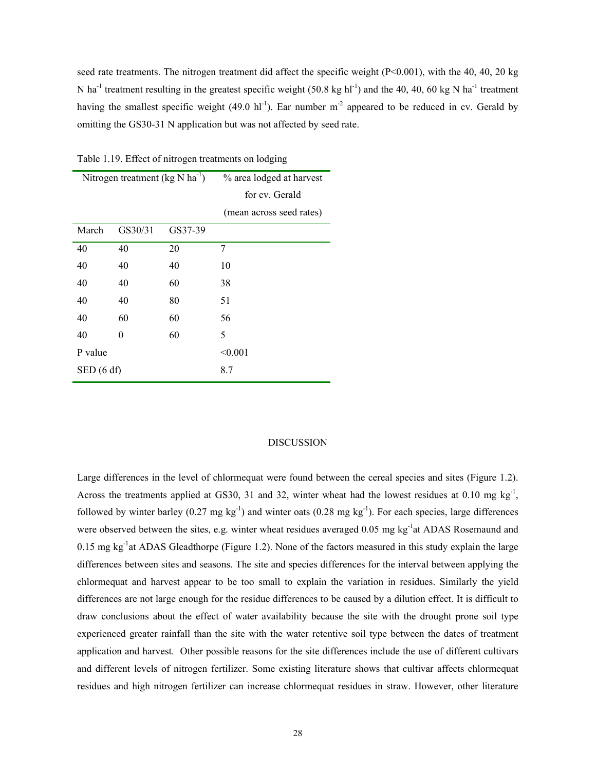seed rate treatments. The nitrogen treatment did affect the specific weight (P<0.001), with the 40, 40, 20 kg N ha<sup>-1</sup> treatment resulting in the greatest specific weight (50.8 kg hl<sup>-1</sup>) and the 40, 40, 60 kg N ha<sup>-1</sup> treatment having the smallest specific weight (49.0 hl<sup>-1</sup>). Ear number  $m<sup>-2</sup>$  appeared to be reduced in cv. Gerald by omitting the GS30-31 N application but was not affected by seed rate.

Table 1.19. Effect of nitrogen treatments on lodging

|           | Nitrogen treatment $(kg N ha^{-1})$ |         | % area lodged at harvest<br>for cv. Gerald |
|-----------|-------------------------------------|---------|--------------------------------------------|
|           |                                     |         | (mean across seed rates)                   |
| March     | GS30/31                             | GS37-39 |                                            |
| 40        | 40                                  | 20      | 7                                          |
| 40        | 40                                  | 40      | 10                                         |
| 40        | 40                                  | 60      | 38                                         |
| 40        | 40                                  | 80      | 51                                         |
| 40        | 60                                  | 60      | 56                                         |
| 40        | 0                                   | 60      | 5                                          |
| P value   |                                     |         | < 0.001                                    |
| SED(6 df) |                                     |         | 8.7                                        |

#### DISCUSSION

Large differences in the level of chlormequat were found between the cereal species and sites (Figure 1.2). Across the treatments applied at GS30, 31 and 32, winter wheat had the lowest residues at 0.10 mg  $kg^{-1}$ , followed by winter barley (0.27 mg kg<sup>-1</sup>) and winter oats (0.28 mg kg<sup>-1</sup>). For each species, large differences were observed between the sites, e.g. winter wheat residues averaged  $0.05$  mg kg<sup>-1</sup>at ADAS Rosemaund and 0.15 mg kg<sup>-1</sup>at ADAS Gleadthorpe (Figure 1.2). None of the factors measured in this study explain the large differences between sites and seasons. The site and species differences for the interval between applying the chlormequat and harvest appear to be too small to explain the variation in residues. Similarly the yield differences are not large enough for the residue differences to be caused by a dilution effect. It is difficult to draw conclusions about the effect of water availability because the site with the drought prone soil type experienced greater rainfall than the site with the water retentive soil type between the dates of treatment application and harvest. Other possible reasons for the site differences include the use of different cultivars and different levels of nitrogen fertilizer. Some existing literature shows that cultivar affects chlormequat residues and high nitrogen fertilizer can increase chlormequat residues in straw. However, other literature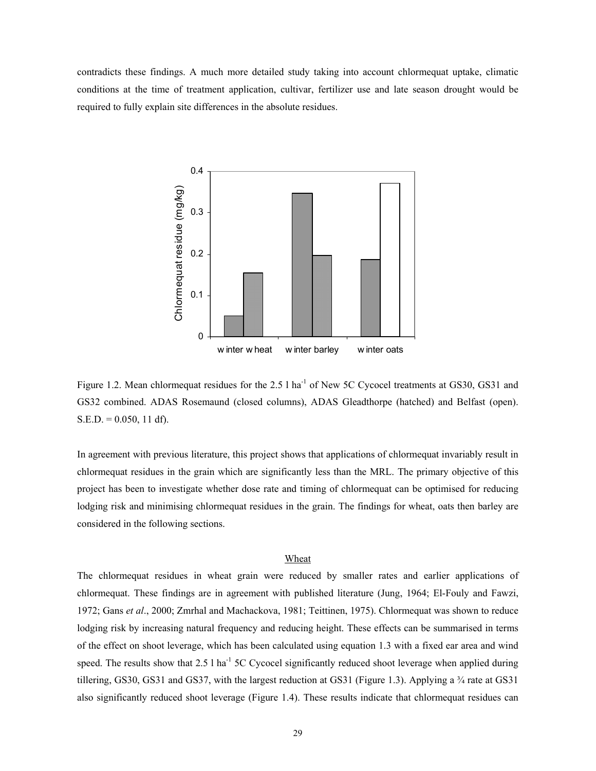contradicts these findings. A much more detailed study taking into account chlormequat uptake, climatic conditions at the time of treatment application, cultivar, fertilizer use and late season drought would be required to fully explain site differences in the absolute residues.



Figure 1.2. Mean chlormequat residues for the 2.5 l ha<sup>-1</sup> of New 5C Cycocel treatments at GS30, GS31 and GS32 combined. ADAS Rosemaund (closed columns), ADAS Gleadthorpe (hatched) and Belfast (open).  $S.E.D. = 0.050, 11 df$ .

In agreement with previous literature, this project shows that applications of chlormequat invariably result in chlormequat residues in the grain which are significantly less than the MRL. The primary objective of this project has been to investigate whether dose rate and timing of chlormequat can be optimised for reducing lodging risk and minimising chlormequat residues in the grain. The findings for wheat, oats then barley are considered in the following sections.

# Wheat

The chlormequat residues in wheat grain were reduced by smaller rates and earlier applications of chlormequat. These findings are in agreement with published literature (Jung, 1964; El-Fouly and Fawzi, 1972; Gans *et al*., 2000; Zmrhal and Machackova, 1981; Teittinen, 1975). Chlormequat was shown to reduce lodging risk by increasing natural frequency and reducing height. These effects can be summarised in terms of the effect on shoot leverage, which has been calculated using equation 1.3 with a fixed ear area and wind speed. The results show that  $2.5 \text{ l}$  ha<sup>-1</sup> 5C Cycocel significantly reduced shoot leverage when applied during tillering, GS30, GS31 and GS37, with the largest reduction at GS31 (Figure 1.3). Applying a  $\frac{3}{4}$  rate at GS31 also significantly reduced shoot leverage (Figure 1.4). These results indicate that chlormequat residues can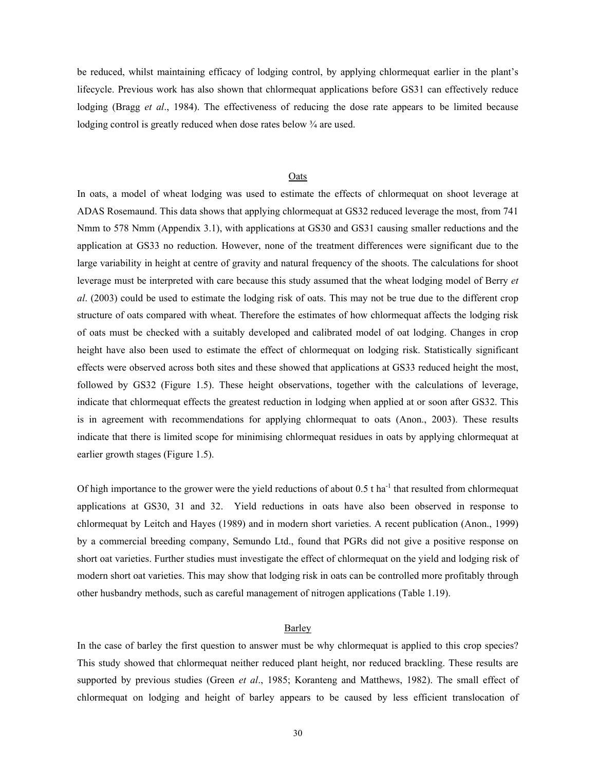be reduced, whilst maintaining efficacy of lodging control, by applying chlormequat earlier in the plant's lifecycle. Previous work has also shown that chlormequat applications before GS31 can effectively reduce lodging (Bragg *et al*., 1984). The effectiveness of reducing the dose rate appears to be limited because lodging control is greatly reduced when dose rates below  $\frac{3}{4}$  are used.

# Oats

In oats, a model of wheat lodging was used to estimate the effects of chlormequat on shoot leverage at ADAS Rosemaund. This data shows that applying chlormequat at GS32 reduced leverage the most, from 741 Nmm to 578 Nmm (Appendix 3.1), with applications at GS30 and GS31 causing smaller reductions and the application at GS33 no reduction. However, none of the treatment differences were significant due to the large variability in height at centre of gravity and natural frequency of the shoots. The calculations for shoot leverage must be interpreted with care because this study assumed that the wheat lodging model of Berry *et al*. (2003) could be used to estimate the lodging risk of oats. This may not be true due to the different crop structure of oats compared with wheat. Therefore the estimates of how chlormequat affects the lodging risk of oats must be checked with a suitably developed and calibrated model of oat lodging. Changes in crop height have also been used to estimate the effect of chlormequat on lodging risk. Statistically significant effects were observed across both sites and these showed that applications at GS33 reduced height the most, followed by GS32 (Figure 1.5). These height observations, together with the calculations of leverage, indicate that chlormequat effects the greatest reduction in lodging when applied at or soon after GS32. This is in agreement with recommendations for applying chlormequat to oats (Anon., 2003). These results indicate that there is limited scope for minimising chlormequat residues in oats by applying chlormequat at earlier growth stages (Figure 1.5).

Of high importance to the grower were the yield reductions of about  $0.5$  t ha<sup>-1</sup> that resulted from chlormequat applications at GS30, 31 and 32. Yield reductions in oats have also been observed in response to chlormequat by Leitch and Hayes (1989) and in modern short varieties. A recent publication (Anon., 1999) by a commercial breeding company, Semundo Ltd., found that PGRs did not give a positive response on short oat varieties. Further studies must investigate the effect of chlormequat on the yield and lodging risk of modern short oat varieties. This may show that lodging risk in oats can be controlled more profitably through other husbandry methods, such as careful management of nitrogen applications (Table 1.19).

# Barley

In the case of barley the first question to answer must be why chlormequat is applied to this crop species? This study showed that chlormequat neither reduced plant height, nor reduced brackling. These results are supported by previous studies (Green *et al*., 1985; Koranteng and Matthews, 1982). The small effect of chlormequat on lodging and height of barley appears to be caused by less efficient translocation of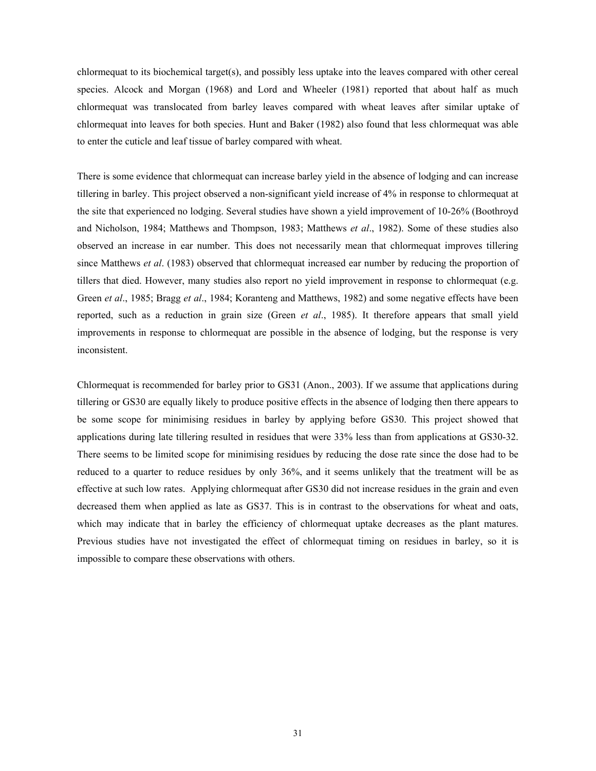chlormequat to its biochemical target(s), and possibly less uptake into the leaves compared with other cereal species. Alcock and Morgan (1968) and Lord and Wheeler (1981) reported that about half as much chlormequat was translocated from barley leaves compared with wheat leaves after similar uptake of chlormequat into leaves for both species. Hunt and Baker (1982) also found that less chlormequat was able to enter the cuticle and leaf tissue of barley compared with wheat.

There is some evidence that chlormequat can increase barley yield in the absence of lodging and can increase tillering in barley. This project observed a non-significant yield increase of 4% in response to chlormequat at the site that experienced no lodging. Several studies have shown a yield improvement of 10-26% (Boothroyd and Nicholson, 1984; Matthews and Thompson, 1983; Matthews *et al*., 1982). Some of these studies also observed an increase in ear number. This does not necessarily mean that chlormequat improves tillering since Matthews *et al*. (1983) observed that chlormequat increased ear number by reducing the proportion of tillers that died. However, many studies also report no yield improvement in response to chlormequat (e.g. Green *et al*., 1985; Bragg *et al*., 1984; Koranteng and Matthews, 1982) and some negative effects have been reported, such as a reduction in grain size (Green *et al*., 1985). It therefore appears that small yield improvements in response to chlormequat are possible in the absence of lodging, but the response is very inconsistent.

Chlormequat is recommended for barley prior to GS31 (Anon., 2003). If we assume that applications during tillering or GS30 are equally likely to produce positive effects in the absence of lodging then there appears to be some scope for minimising residues in barley by applying before GS30. This project showed that applications during late tillering resulted in residues that were 33% less than from applications at GS30-32. There seems to be limited scope for minimising residues by reducing the dose rate since the dose had to be reduced to a quarter to reduce residues by only 36%, and it seems unlikely that the treatment will be as effective at such low rates. Applying chlormequat after GS30 did not increase residues in the grain and even decreased them when applied as late as GS37. This is in contrast to the observations for wheat and oats, which may indicate that in barley the efficiency of chlormequat uptake decreases as the plant matures. Previous studies have not investigated the effect of chlormequat timing on residues in barley, so it is impossible to compare these observations with others.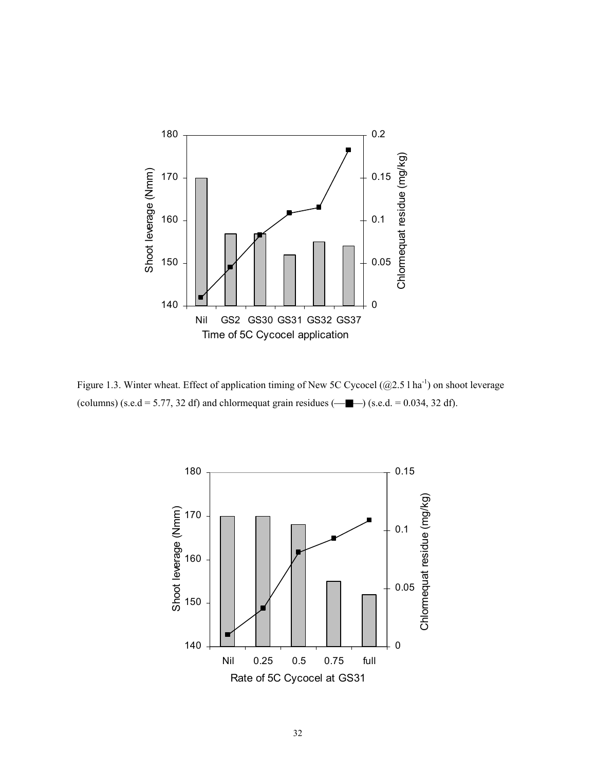

Figure 1.3. Winter wheat. Effect of application timing of New 5C Cycocel (@2.5 l ha<sup>-1</sup>) on shoot leverage (columns) (s.e.d = 5.77, 32 df) and chlormequat grain residues  $(\_\_\_\_\_)$  (s.e.d. = 0.034, 32 df).

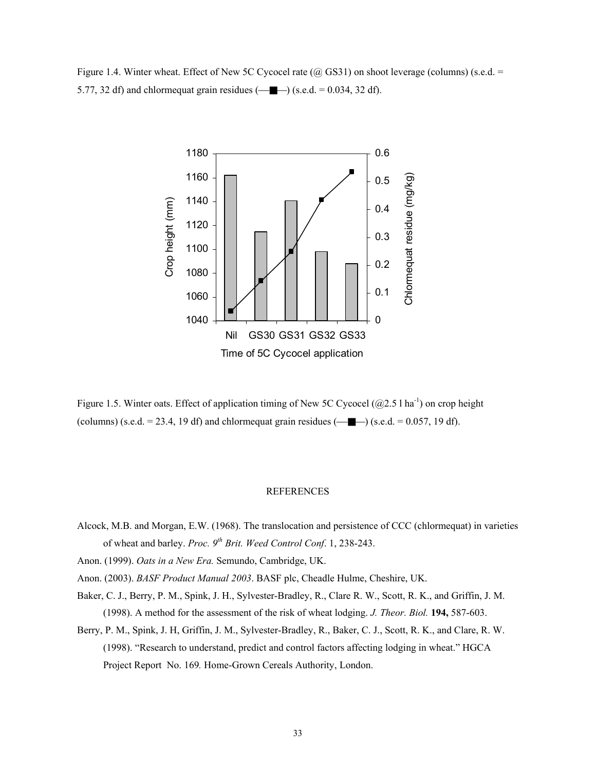Figure 1.4. Winter wheat. Effect of New 5C Cycocel rate  $(Q$  GS31) on shoot leverage (columns) (s.e.d. = 5.77, 32 df) and chlormequat grain residues  $(-\blacksquare)$  (s.e.d. = 0.034, 32 df).



Figure 1.5. Winter oats. Effect of application timing of New 5C Cycocel ( $\omega$ 2.5 l ha<sup>-1</sup>) on crop height (columns) (s.e.d. = 23.4, 19 df) and chlormequat grain residues  $(\overline{\phantom{a}})$  (s.e.d. = 0.057, 19 df).

# REFERENCES

- Alcock, M.B. and Morgan, E.W. (1968). The translocation and persistence of CCC (chlormequat) in varieties of wheat and barley. *Proc.* 9<sup>th</sup> Brit. Weed Control Conf. 1, 238-243.
- Anon. (1999). *Oats in a New Era.* Semundo, Cambridge, UK.

Anon. (2003). *BASF Product Manual 2003*. BASF plc, Cheadle Hulme, Cheshire, UK.

- Baker, C. J., Berry, P. M., Spink, J. H., Sylvester-Bradley, R., Clare R. W., Scott, R. K., and Griffin, J. M. (1998). A method for the assessment of the risk of wheat lodging. *J. Theor. Biol.* **194,** 587-603.
- Berry, P. M., Spink, J. H, Griffin, J. M., Sylvester-Bradley, R., Baker, C. J., Scott, R. K., and Clare, R. W. (1998). "Research to understand, predict and control factors affecting lodging in wheat." HGCA Project Report No. 169*.* Home-Grown Cereals Authority, London.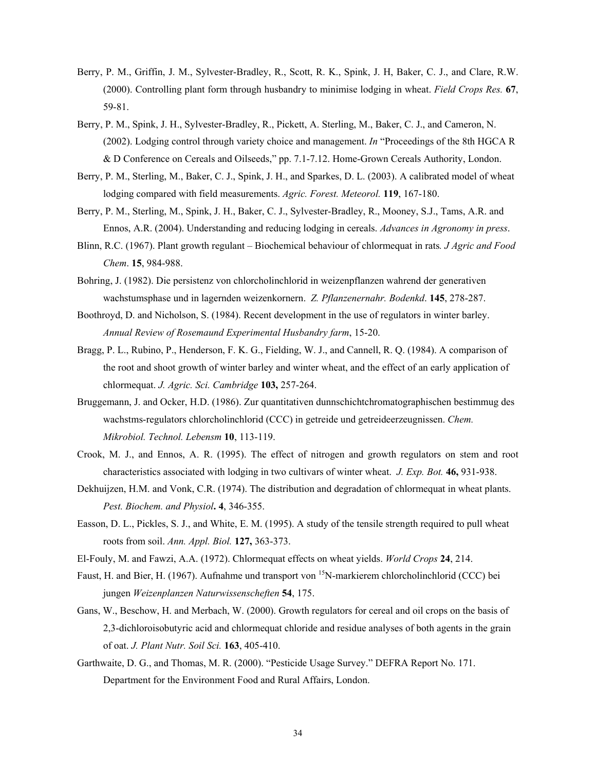- Berry, P. M., Griffin, J. M., Sylvester-Bradley, R., Scott, R. K., Spink, J. H, Baker, C. J., and Clare, R.W. (2000). Controlling plant form through husbandry to minimise lodging in wheat. *Field Crops Res.* **67**, 59-81.
- Berry, P. M., Spink, J. H., Sylvester-Bradley, R., Pickett, A. Sterling, M., Baker, C. J., and Cameron, N. (2002). Lodging control through variety choice and management. *In* "Proceedings of the 8th HGCA R & D Conference on Cereals and Oilseeds," pp. 7.1-7.12. Home-Grown Cereals Authority, London.
- Berry, P. M., Sterling, M., Baker, C. J., Spink, J. H., and Sparkes, D. L. (2003). A calibrated model of wheat lodging compared with field measurements. *Agric. Forest. Meteorol.* **119**, 167-180.
- Berry, P. M., Sterling, M., Spink, J. H., Baker, C. J., Sylvester-Bradley, R., Mooney, S.J., Tams, A.R. and Ennos, A.R. (2004). Understanding and reducing lodging in cereals. *Advances in Agronomy in press*.
- Blinn, R.C. (1967). Plant growth regulant Biochemical behaviour of chlormequat in rats*. J Agric and Food Chem*. **15**, 984-988.
- Bohring, J. (1982). Die persistenz von chlorcholinchlorid in weizenpflanzen wahrend der generativen wachstumsphase und in lagernden weizenkornern. *Z. Pflanzenernahr. Bodenkd*. **145**, 278-287.
- Boothroyd, D. and Nicholson, S. (1984). Recent development in the use of regulators in winter barley. *Annual Review of Rosemaund Experimental Husbandry farm*, 15-20.
- Bragg, P. L., Rubino, P., Henderson, F. K. G., Fielding, W. J., and Cannell, R. Q. (1984). A comparison of the root and shoot growth of winter barley and winter wheat, and the effect of an early application of chlormequat. *J. Agric. Sci. Cambridge* **103,** 257-264.
- Bruggemann, J. and Ocker, H.D. (1986). Zur quantitativen dunnschichtchromatographischen bestimmug des wachstms-regulators chlorcholinchlorid (CCC) in getreide und getreideerzeugnissen. *Chem. Mikrobiol. Technol. Lebensm* **10**, 113-119.
- Crook, M. J., and Ennos, A. R. (1995). The effect of nitrogen and growth regulators on stem and root characteristics associated with lodging in two cultivars of winter wheat. *J. Exp. Bot.* **46,** 931-938.
- Dekhuijzen, H.M. and Vonk, C.R. (1974). The distribution and degradation of chlormequat in wheat plants. *Pest. Biochem. and Physiol***. 4**, 346-355.
- Easson, D. L., Pickles, S. J., and White, E. M. (1995). A study of the tensile strength required to pull wheat roots from soil. *Ann. Appl. Biol.* **127,** 363-373.
- El-Fouly, M. and Fawzi, A.A. (1972). Chlormequat effects on wheat yields. *World Crops* **24**, 214.
- Faust, H. and Bier, H. (1967). Aufnahme und transport von <sup>15</sup>N-markierem chlorcholinchlorid (CCC) bei jungen *Weizenplanzen Naturwissenscheften* **54**, 175.
- Gans, W., Beschow, H. and Merbach, W. (2000). Growth regulators for cereal and oil crops on the basis of 2,3-dichloroisobutyric acid and chlormequat chloride and residue analyses of both agents in the grain of oat. *J. Plant Nutr. Soil Sci.* **163**, 405-410.
- Garthwaite, D. G., and Thomas, M. R. (2000). "Pesticide Usage Survey." DEFRA Report No. 171. Department for the Environment Food and Rural Affairs, London.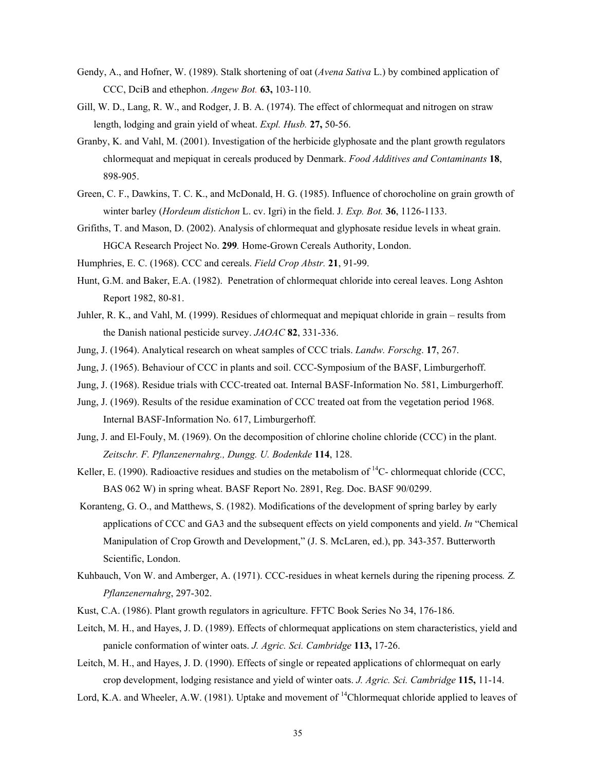- Gendy, A., and Hofner, W. (1989). Stalk shortening of oat (*Avena Sativa* L.) by combined application of CCC, DciB and ethephon. *Angew Bot.* **63,** 103-110.
- Gill, W. D., Lang, R. W., and Rodger, J. B. A. (1974). The effect of chlormequat and nitrogen on straw length, lodging and grain yield of wheat. *Expl. Husb.* **27,** 50-56.
- Granby, K. and Vahl, M. (2001). Investigation of the herbicide glyphosate and the plant growth regulators chlormequat and mepiquat in cereals produced by Denmark. *Food Additives and Contaminants* **18**, 898-905.
- Green, C. F., Dawkins, T. C. K., and McDonald, H. G. (1985). Influence of chorocholine on grain growth of winter barley (*Hordeum distichon* L. cv. Igri) in the field. J*. Exp. Bot.* **36**, 1126-1133.
- Grifiths, T. and Mason, D. (2002). Analysis of chlormequat and glyphosate residue levels in wheat grain. HGCA Research Project No. **299***.* Home-Grown Cereals Authority, London.
- Humphries, E. C. (1968). CCC and cereals. *Field Crop Abstr.* **21**, 91-99.
- Hunt, G.M. and Baker, E.A. (1982). Penetration of chlormequat chloride into cereal leaves. Long Ashton Report 1982, 80-81.
- Juhler, R. K., and Vahl, M. (1999). Residues of chlormequat and mepiquat chloride in grain results from the Danish national pesticide survey. *JAOAC* **82**, 331-336.
- Jung, J. (1964). Analytical research on wheat samples of CCC trials. *Landw. Forschg*. **17**, 267.
- Jung, J. (1965). Behaviour of CCC in plants and soil. CCC-Symposium of the BASF, Limburgerhoff.
- Jung, J. (1968). Residue trials with CCC-treated oat. Internal BASF-Information No. 581, Limburgerhoff.
- Jung, J. (1969). Results of the residue examination of CCC treated oat from the vegetation period 1968. Internal BASF-Information No. 617, Limburgerhoff.
- Jung, J. and El-Fouly, M. (1969). On the decomposition of chlorine choline chloride (CCC) in the plant. *Zeitschr. F. Pflanzenernahrg., Dungg. U. Bodenkde* **114**, 128.
- Keller, E. (1990). Radioactive residues and studies on the metabolism of  ${}^{14}C$  chlormequat chloride (CCC, BAS 062 W) in spring wheat. BASF Report No. 2891, Reg. Doc. BASF 90/0299.
- Koranteng, G. O., and Matthews, S. (1982). Modifications of the development of spring barley by early applications of CCC and GA3 and the subsequent effects on yield components and yield. *In* "Chemical Manipulation of Crop Growth and Development," (J. S. McLaren, ed.), pp. 343-357. Butterworth Scientific, London.
- Kuhbauch, Von W. and Amberger, A. (1971). CCC-residues in wheat kernels during the ripening process*. Z. Pflanzenernahrg*, 297-302.
- Kust, C.A. (1986). Plant growth regulators in agriculture. FFTC Book Series No 34, 176-186.
- Leitch, M. H., and Hayes, J. D. (1989). Effects of chlormequat applications on stem characteristics, yield and panicle conformation of winter oats. *J. Agric. Sci. Cambridge* **113,** 17-26.
- Leitch, M. H., and Hayes, J. D. (1990). Effects of single or repeated applications of chlormequat on early crop development, lodging resistance and yield of winter oats. *J. Agric. Sci. Cambridge* **115,** 11-14.
- Lord, K.A. and Wheeler, A.W. (1981). Uptake and movement of <sup>14</sup>Chlormequat chloride applied to leaves of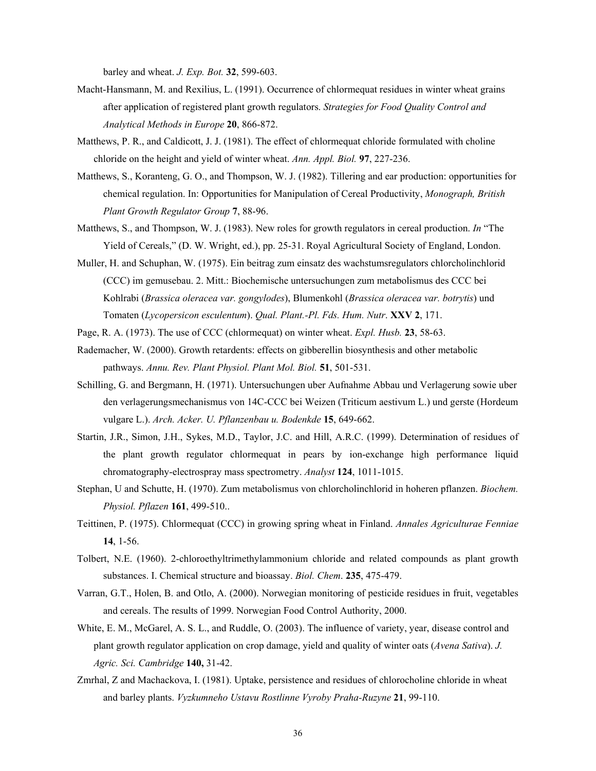barley and wheat. *J. Exp. Bot.* **32**, 599-603.

- Macht-Hansmann, M. and Rexilius, L. (1991). Occurrence of chlormequat residues in winter wheat grains after application of registered plant growth regulators. *Strategies for Food Quality Control and Analytical Methods in Europe* **20**, 866-872.
- Matthews, P. R., and Caldicott, J. J. (1981). The effect of chlormequat chloride formulated with choline chloride on the height and yield of winter wheat. *Ann. Appl. Biol.* **97**, 227-236.
- Matthews, S., Koranteng, G. O., and Thompson, W. J. (1982). Tillering and ear production: opportunities for chemical regulation. In: Opportunities for Manipulation of Cereal Productivity, *Monograph, British Plant Growth Regulator Group* **7**, 88-96.
- Matthews, S., and Thompson, W. J. (1983). New roles for growth regulators in cereal production. *In* "The Yield of Cereals," (D. W. Wright, ed.), pp. 25-31. Royal Agricultural Society of England, London.
- Muller, H. and Schuphan, W. (1975). Ein beitrag zum einsatz des wachstumsregulators chlorcholinchlorid (CCC) im gemusebau. 2. Mitt.: Biochemische untersuchungen zum metabolismus des CCC bei Kohlrabi (*Brassica oleracea var. gongylodes*), Blumenkohl (*Brassica oleracea var. botrytis*) und Tomaten (*Lycopersicon esculentum*). *Qual. Plant.-Pl. Fds. Hum. Nutr*. **XXV 2**, 171.
- Page, R. A. (1973). The use of CCC (chlormequat) on winter wheat. *Expl. Husb.* **23**, 58-63.
- Rademacher, W. (2000). Growth retardents: effects on gibberellin biosynthesis and other metabolic pathways. *Annu. Rev. Plant Physiol. Plant Mol. Biol.* **51**, 501-531.
- Schilling, G. and Bergmann, H. (1971). Untersuchungen uber Aufnahme Abbau und Verlagerung sowie uber den verlagerungsmechanismus von 14C-CCC bei Weizen (Triticum aestivum L.) und gerste (Hordeum vulgare L.). *Arch. Acker. U. Pflanzenbau u. Bodenkde* **15**, 649-662.
- Startin, J.R., Simon, J.H., Sykes, M.D., Taylor, J.C. and Hill, A.R.C. (1999). Determination of residues of the plant growth regulator chlormequat in pears by ion-exchange high performance liquid chromatography-electrospray mass spectrometry. *Analyst* **124**, 1011-1015.
- Stephan, U and Schutte, H. (1970). Zum metabolismus von chlorcholinchlorid in hoheren pflanzen. *Biochem. Physiol. Pflazen* **161**, 499-510..
- Teittinen, P. (1975). Chlormequat (CCC) in growing spring wheat in Finland. *Annales Agriculturae Fenniae* **14**, 1-56.
- Tolbert, N.E. (1960). 2-chloroethyltrimethylammonium chloride and related compounds as plant growth substances. I. Chemical structure and bioassay. *Biol. Chem*. **235**, 475-479.
- Varran, G.T., Holen, B. and Otlo, A. (2000). Norwegian monitoring of pesticide residues in fruit, vegetables and cereals. The results of 1999. Norwegian Food Control Authority, 2000.
- White, E. M., McGarel, A. S. L., and Ruddle, O. (2003). The influence of variety, year, disease control and plant growth regulator application on crop damage, yield and quality of winter oats (*Avena Sativa*). *J. Agric. Sci. Cambridge* **140,** 31-42.
- Zmrhal, Z and Machackova, I. (1981). Uptake, persistence and residues of chlorocholine chloride in wheat and barley plants. *Vyzkumneho Ustavu Rostlinne Vyroby Praha-Ruzyne* **21**, 99-110.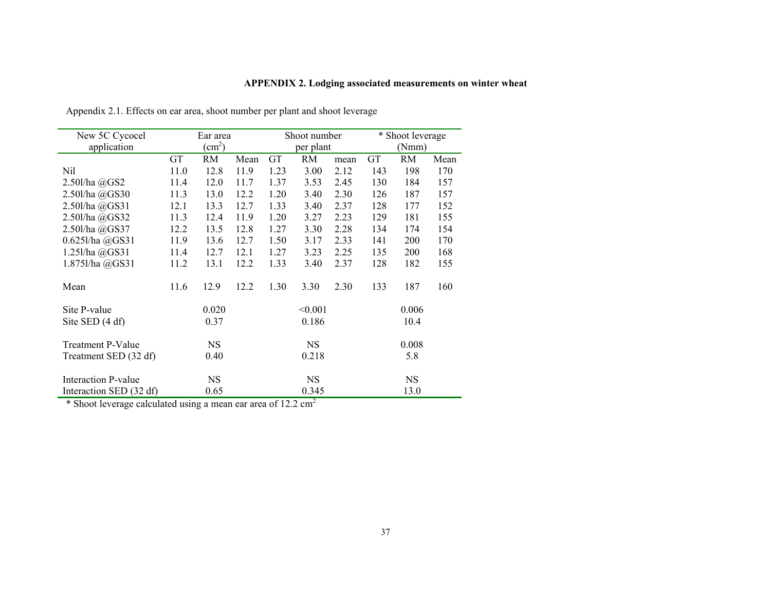# **APPENDIX 2. Lodging associated measurements on winter wheat**

| New 5C Cycocel           |                        | Shoot number<br>Ear area |      |           |                    | * Shoot leverage |       |            |      |
|--------------------------|------------------------|--------------------------|------|-----------|--------------------|------------------|-------|------------|------|
| application              | $\text{(cm}^2\text{)}$ |                          |      | per plant |                    |                  | (Nmm) |            |      |
|                          | <b>GT</b>              | RM                       | Mean | GT        | RM                 | mean             | GT    | <b>RM</b>  | Mean |
| Nil                      | 11.0                   | 12.8                     | 11.9 | 1.23      | 3.00               | 2.12             | 143   | 198        | 170  |
| 2.50l/ha @GS2            | 11.4                   | 12.0                     | 11.7 | 1.37      | 3.53               | 2.45             | 130   | 184        | 157  |
| 2.50l/ha @GS30           | 11.3                   | 13.0                     | 12.2 | 1.20      | 3.40               | 2.30             | 126   | 187        | 157  |
| 2.50l/ha @GS31           | 12.1                   | 13.3                     | 12.7 | 1.33      | 3.40               | 2.37             | 128   | 177        | 152  |
| 2.50l/ha @GS32           | 11.3                   | 12.4                     | 11.9 | 1.20      | 3.27               | 2.23             | 129   | 181        | 155  |
| 2.50l/ha @GS37           | 12.2                   | 13.5                     | 12.8 | 1.27      | 3.30               | 2.28             | 134   | 174        | 154  |
| $0.625$ l/ha $@G$ S31    | 11.9                   | 13.6                     | 12.7 | 1.50      | 3.17               | 2.33             | 141   | <b>200</b> | 170  |
| 1.251/ha @GS31           | 11.4                   | 12.7                     | 12.1 | 1.27      | 3.23               | 2.25             | 135   | 200        | 168  |
| 1.875l/ha @GS31          | 11.2                   | 13.1                     | 12.2 | 1.33      | 3.40               | 2.37             | 128   | 182        | 155  |
| Mean                     | 11.6                   | 12.9                     | 12.2 | 1.30      | 3.30               | 2.30             | 133   | 187        | 160  |
| Site P-value             |                        | 0.020                    |      |           | < 0.001            |                  |       | 0.006      |      |
| Site SED $(4 df)$        |                        | 0.37                     |      |           | 0.186              |                  | 10.4  |            |      |
| <b>Treatment P-Value</b> |                        | <b>NS</b>                |      |           | <b>NS</b><br>0.008 |                  |       |            |      |
| Treatment SED (32 df)    |                        | 0.40                     |      | 0.218     |                    |                  |       | 5.8        |      |
| Interaction P-value      |                        | <b>NS</b>                |      |           | <b>NS</b>          |                  |       | <b>NS</b>  |      |
| Interaction SED (32 df)  |                        | 0.65                     |      |           | 0.345              |                  |       | 13.0       |      |

Appendix 2.1. Effects on ear area, shoot number per plant and shoot leverage

\* Shoot leverage calculated using a mean ear area of 12.2 cm<sup>2</sup>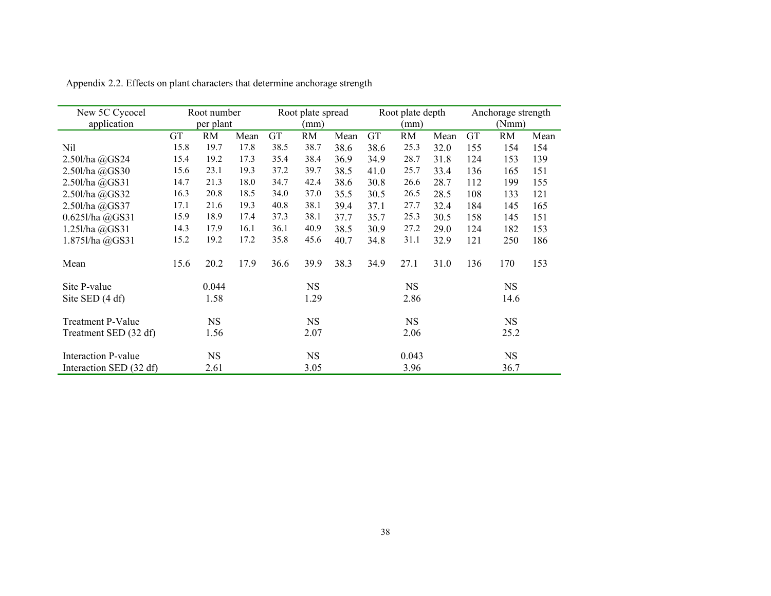| New 5C Cycocel           |      | Root number |      |           | Root plate spread |      |      | Root plate depth |      |     | Anchorage strength |      |
|--------------------------|------|-------------|------|-----------|-------------------|------|------|------------------|------|-----|--------------------|------|
| application              |      | per plant   |      |           | (mm)              |      |      | (mm)             |      |     | (Nmm)              |      |
|                          | GT   | <b>RM</b>   | Mean | <b>GT</b> | RM                | Mean | GT   | <b>RM</b>        | Mean | GT  | RM                 | Mean |
| Nil                      | 15.8 | 19.7        | 17.8 | 38.5      | 38.7              | 38.6 | 38.6 | 25.3             | 32.0 | 155 | 154                | 154  |
| 2.50l/ha $@GS24$         | 15.4 | 19.2        | 17.3 | 35.4      | 38.4              | 36.9 | 34.9 | 28.7             | 31.8 | 124 | 153                | 139  |
| 2.50l/ha @GS30           | 15.6 | 23.1        | 19.3 | 37.2      | 39.7              | 38.5 | 41.0 | 25.7             | 33.4 | 136 | 165                | 151  |
| 2.50l/ha @GS31           | 14.7 | 21.3        | 18.0 | 34.7      | 42.4              | 38.6 | 30.8 | 26.6             | 28.7 | 112 | 199                | 155  |
| 2.50l/ha @GS32           | 16.3 | 20.8        | 18.5 | 34.0      | 37.0              | 35.5 | 30.5 | 26.5             | 28.5 | 108 | 133                | 121  |
| 2.50l/ha @GS37           | 17.1 | 21.6        | 19.3 | 40.8      | 38.1              | 39.4 | 37.1 | 27.7             | 32.4 | 184 | 145                | 165  |
| $0.6251$ /ha $@GS31$     | 15.9 | 18.9        | 17.4 | 37.3      | 38.1              | 37.7 | 35.7 | 25.3             | 30.5 | 158 | 145                | 151  |
| 1.251/ha @GS31           | 14.3 | 17.9        | 16.1 | 36.1      | 40.9              | 38.5 | 30.9 | 27.2             | 29.0 | 124 | 182                | 153  |
| 1.875l/ha @GS31          | 15.2 | 19.2        | 17.2 | 35.8      | 45.6              | 40.7 | 34.8 | 31.1             | 32.9 | 121 | 250                | 186  |
| Mean                     | 15.6 | 20.2        | 17.9 | 36.6      | 39.9              | 38.3 | 34.9 | 27.1             | 31.0 | 136 | 170                | 153  |
| Site P-value             |      | 0.044       |      |           | <b>NS</b>         |      |      | <b>NS</b>        |      |     | <b>NS</b>          |      |
| Site SED (4 df)          |      | 1.58        |      |           | 1.29              |      |      | 2.86             |      |     | 14.6               |      |
| <b>Treatment P-Value</b> |      | <b>NS</b>   |      |           | <b>NS</b>         |      |      | <b>NS</b>        |      |     | <b>NS</b>          |      |
| Treatment SED (32 df)    |      | 1.56        |      |           | 2.07              |      |      | 2.06             |      |     | 25.2               |      |
| Interaction P-value      |      | <b>NS</b>   |      |           | <b>NS</b>         |      |      | 0.043            |      |     | <b>NS</b>          |      |
| Interaction SED (32 df)  |      | 2.61        |      |           | 3.05              |      |      | 3.96             |      |     | 36.7               |      |

Appendix 2.2. Effects on plant characters that determine anchorage strength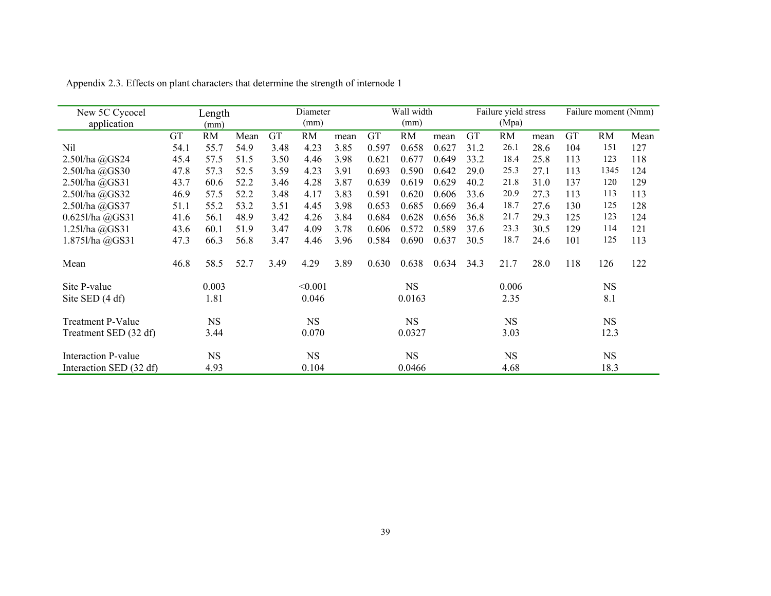| New 5C Cycocel<br>application |           | Length<br>(mm) |      |      | Diameter<br>(mm) |      |           | Wall width<br>(mm) |       |           | Failure yield stress<br>(Mpa) |      |     | Failure moment (Nmm) |      |
|-------------------------------|-----------|----------------|------|------|------------------|------|-----------|--------------------|-------|-----------|-------------------------------|------|-----|----------------------|------|
|                               | <b>GT</b> | <b>RM</b>      | Mean | GT   | RM               | mean | <b>GT</b> | RM                 | mean  | <b>GT</b> | RM                            | mean | GT  | <b>RM</b>            | Mean |
| Nil                           | 54.1      | 55.7           | 54.9 | 3.48 | 4.23             | 3.85 | 0.597     | 0.658              | 0.627 | 31.2      | 26.1                          | 28.6 | 104 | 151                  | 127  |
| 2.50l/ha @GS24                | 45.4      | 57.5           | 51.5 | 3.50 | 4.46             | 3.98 | 0.621     | 0.677              | 0.649 | 33.2      | 18.4                          | 25.8 | 113 | 123                  | 118  |
| 2.50l/ha @GS30                | 47.8      | 57.3           | 52.5 | 3.59 | 4.23             | 3.91 | 0.693     | 0.590              | 0.642 | 29.0      | 25.3                          | 27.1 | 113 | 1345                 | 124  |
| 2.50l/ha @GS31                | 43.7      | 60.6           | 52.2 | 3.46 | 4.28             | 3.87 | 0.639     | 0.619              | 0.629 | 40.2      | 21.8                          | 31.0 | 137 | 120                  | 129  |
| 2.50l/ha @GS32                | 46.9      | 57.5           | 52.2 | 3.48 | 4.17             | 3.83 | 0.591     | 0.620              | 0.606 | 33.6      | 20.9                          | 27.3 | 113 | 113                  | 113  |
| 2.50l/ha @GS37                | 51.1      | 55.2           | 53.2 | 3.51 | 4.45             | 3.98 | 0.653     | 0.685              | 0.669 | 36.4      | 18.7                          | 27.6 | 130 | 125                  | 128  |
| 0.625l/ha @GS31               | 41.6      | 56.1           | 48.9 | 3.42 | 4.26             | 3.84 | 0.684     | 0.628              | 0.656 | 36.8      | 21.7                          | 29.3 | 125 | 123                  | 124  |
| 1.251/ha @GS31                | 43.6      | 60.1           | 51.9 | 3.47 | 4.09             | 3.78 | 0.606     | 0.572              | 0.589 | 37.6      | 23.3                          | 30.5 | 129 | 114                  | 121  |
| 1.8751/ha @GS31               | 47.3      | 66.3           | 56.8 | 3.47 | 4.46             | 3.96 | 0.584     | 0.690              | 0.637 | 30.5      | 18.7                          | 24.6 | 101 | 125                  | 113  |
| Mean                          | 46.8      | 58.5           | 52.7 | 3.49 | 4.29             | 3.89 | 0.630     | 0.638              | 0.634 | 34.3      | 21.7                          | 28.0 | 118 | 126                  | 122  |
| Site P-value                  |           | 0.003          |      |      | < 0.001          |      |           | <b>NS</b>          |       |           | 0.006                         |      |     | <b>NS</b>            |      |
| Site SED (4 df)               |           | 1.81           |      |      | 0.046            |      |           | 0.0163             |       |           | 2.35                          |      |     | 8.1                  |      |
| <b>Treatment P-Value</b>      |           | <b>NS</b>      |      |      | <b>NS</b>        |      |           | <b>NS</b>          |       |           | <b>NS</b>                     |      |     | <b>NS</b>            |      |
| Treatment SED (32 df)         |           | 3.44           |      |      | 0.070            |      |           | 0.0327             |       |           | 3.03                          |      |     | 12.3                 |      |
| Interaction P-value           |           | <b>NS</b>      |      |      | <b>NS</b>        |      |           | <b>NS</b>          |       |           | <b>NS</b>                     |      |     | <b>NS</b>            |      |
| Interaction SED (32 df)       |           | 4.93           |      |      | 0.104            |      |           | 0.0466             |       |           | 4.68                          |      |     | 18.3                 |      |

Appendix 2.3. Effects on plant characters that determine the strength of internode 1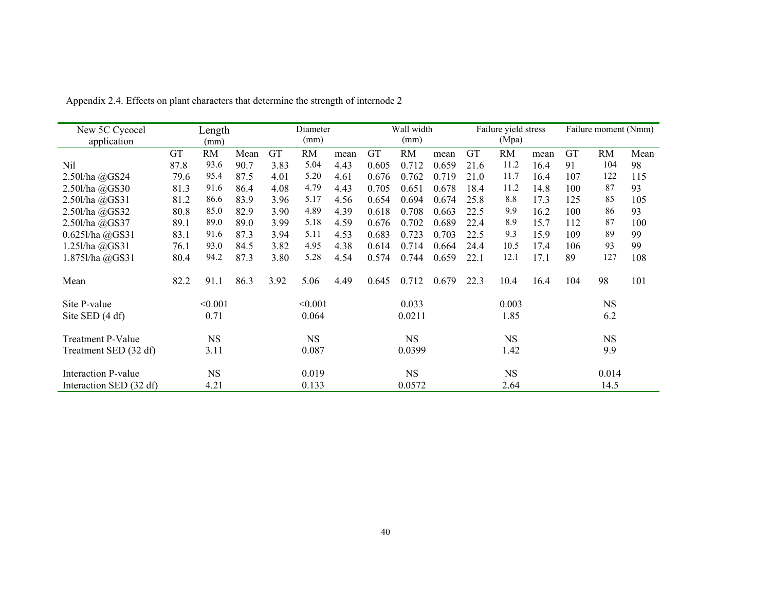| New 5C Cycocel           |      | Length    |      |      | Diameter  |      |           | Wall width |       |      | Failure yield stress |      |     | Failure moment (Nmm) |      |
|--------------------------|------|-----------|------|------|-----------|------|-----------|------------|-------|------|----------------------|------|-----|----------------------|------|
| application              |      | (mm)      |      |      | (mm)      |      |           | (mm)       |       |      | (Mpa)                |      |     |                      |      |
|                          | GT   | RM        | Mean | GT   | <b>RM</b> | mean | <b>GT</b> | <b>RM</b>  | mean  | GT   | RM                   | mean | GT  | <b>RM</b>            | Mean |
| Nil                      | 87.8 | 93.6      | 90.7 | 3.83 | 5.04      | 4.43 | 0.605     | 0.712      | 0.659 | 21.6 | 11.2                 | 16.4 | 91  | 104                  | 98   |
| 2.50l/ha @GS24           | 79.6 | 95.4      | 87.5 | 4.01 | 5.20      | 4.61 | 0.676     | 0.762      | 0.719 | 21.0 | 11.7                 | 16.4 | 107 | 122                  | 115  |
| 2.50l/ha @GS30           | 81.3 | 91.6      | 86.4 | 4.08 | 4.79      | 4.43 | 0.705     | 0.651      | 0.678 | 18.4 | 11.2                 | 14.8 | 100 | 87                   | 93   |
| 2.50l/ha @GS31           | 81.2 | 86.6      | 83.9 | 3.96 | 5.17      | 4.56 | 0.654     | 0.694      | 0.674 | 25.8 | 8.8                  | 17.3 | 125 | 85                   | 105  |
| 2.50l/ha @GS32           | 80.8 | 85.0      | 82.9 | 3.90 | 4.89      | 4.39 | 0.618     | 0.708      | 0.663 | 22.5 | 9.9                  | 16.2 | 100 | 86                   | 93   |
| 2.50l/ha @GS37           | 89.1 | 89.0      | 89.0 | 3.99 | 5.18      | 4.59 | 0.676     | 0.702      | 0.689 | 22.4 | 8.9                  | 15.7 | 112 | 87                   | 100  |
| $0.625$ l/ha $@GS31$     | 83.1 | 91.6      | 87.3 | 3.94 | 5.11      | 4.53 | 0.683     | 0.723      | 0.703 | 22.5 | 9.3                  | 15.9 | 109 | 89                   | 99   |
| 1.25l/ha @GS31           | 76.1 | 93.0      | 84.5 | 3.82 | 4.95      | 4.38 | 0.614     | 0.714      | 0.664 | 24.4 | 10.5                 | 17.4 | 106 | 93                   | 99   |
| 1.8751/ha @GS31          | 80.4 | 94.2      | 87.3 | 3.80 | 5.28      | 4.54 | 0.574     | 0.744      | 0.659 | 22.1 | 12.1                 | 17.1 | 89  | 127                  | 108  |
| Mean                     | 82.2 | 91.1      | 86.3 | 3.92 | 5.06      | 4.49 | 0.645     | 0.712      | 0.679 | 22.3 | 10.4                 | 16.4 | 104 | 98                   | 101  |
| Site P-value             |      | < 0.001   |      |      | < 0.001   |      |           | 0.033      |       |      | 0.003                |      |     | <b>NS</b>            |      |
| Site SED (4 df)          |      | 0.71      |      |      | 0.064     |      |           | 0.0211     |       |      | 1.85                 |      |     | 6.2                  |      |
| <b>Treatment P-Value</b> |      | <b>NS</b> |      |      | <b>NS</b> |      |           | <b>NS</b>  |       |      | <b>NS</b>            |      |     | <b>NS</b>            |      |
| Treatment SED (32 df)    |      | 3.11      |      |      | 0.087     |      |           | 0.0399     |       |      | 1.42                 |      |     | 9.9                  |      |
| Interaction P-value      |      | <b>NS</b> |      |      | 0.019     |      |           | <b>NS</b>  |       |      | <b>NS</b>            |      |     | 0.014                |      |
| Interaction SED (32 df)  |      | 4.21      |      |      | 0.133     |      |           | 0.0572     |       |      | 2.64                 |      |     | 14.5                 |      |

Appendix 2.4. Effects on plant characters that determine the strength of internode 2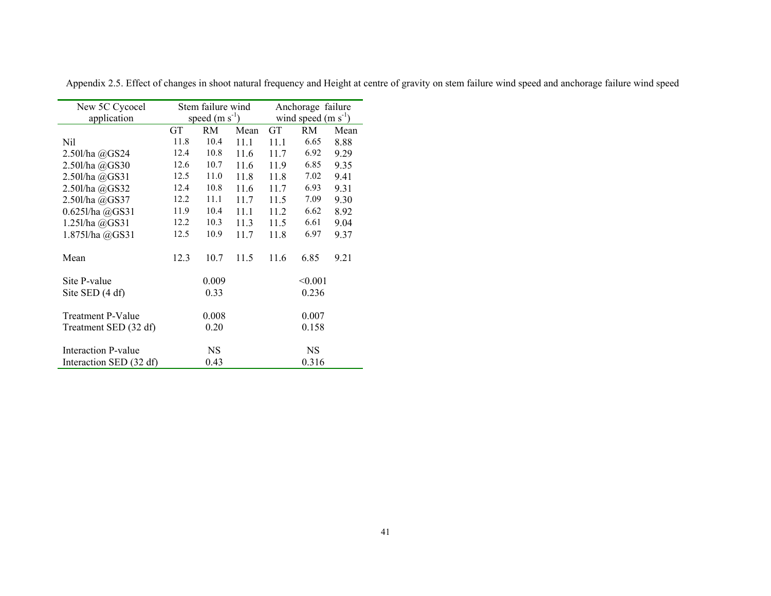| New 5C Cycocel          |           | Stem failure wind |      | Anchorage failure    |           |      |  |
|-------------------------|-----------|-------------------|------|----------------------|-----------|------|--|
| application             |           | speed $(m s-1)$   |      | wind speed $(m s-1)$ |           |      |  |
|                         | <b>GT</b> | RM.               | Mean | <b>GT</b>            | RM.       | Mean |  |
| Nil                     | 11.8      | 10.4              | 111  | 111                  | 6.65      | 8.88 |  |
| 2.50l/ha @GS24          | 12.4      | 10.8              | 11.6 | 11.7                 | 6.92      | 9.29 |  |
| 2.50l/ha @GS30          | 12.6      | 10.7              | 11.6 | 11.9                 | 6.85      | 9.35 |  |
| 2.50l/ha @GS31          | 12.5      | 11.0              | 11.8 | 11.8                 | 7.02      | 9.41 |  |
| 2.50l/ha @GS32          | 12.4      | 10.8              | 11.6 | 11.7                 | 6.93      | 9.31 |  |
| 2.50l/ha @GS37          | 12.2      | 11.1              | 11.7 | 11.5                 | 7.09      | 9.30 |  |
| 0.6251/ha @GSS1         | 11.9      | 10.4              | 11 1 | 11.2                 | 6.62      | 8.92 |  |
| 1.251/ha @GS31          | 12.2      | 10.3              | 11.3 | 11.5                 | 6.61      | 9.04 |  |
| 1.8751/ha @GS31         | 12.5      | 10.9              | 11.7 | 11.8                 | 6.97      | 9.37 |  |
|                         |           |                   |      |                      |           |      |  |
| Mean                    | 12.3      | 10.7              | 11.5 | 11.6                 | 6.85      | 9.21 |  |
| Site P-value            |           | 0.009             |      |                      | < 0.001   |      |  |
|                         |           |                   |      |                      |           |      |  |
| Site SED $(4 df)$       |           | 0.33              |      |                      | 0.236     |      |  |
| Treatment P-Value       |           | 0.008             |      |                      | 0.007     |      |  |
| Treatment SED (32 df)   |           | 0.20              |      |                      | 0.158     |      |  |
|                         |           |                   |      |                      |           |      |  |
| Interaction P-value     |           | <b>NS</b>         |      |                      | <b>NS</b> |      |  |
| Interaction SED (32 df) |           | 0.43              |      |                      | 0.316     |      |  |

Appendix 2.5. Effect of changes in shoot natural frequency and Height at centre of gravity on stem failure wind speed and anchorage failure wind speed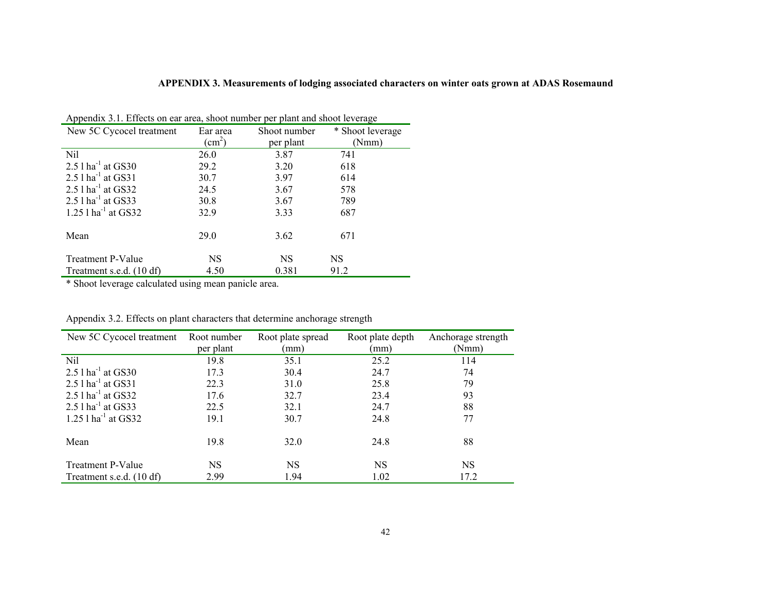# **APPENDIX 3. Measurements of lodging associated characters on winter oats grown at ADAS Rosemaund**

| New 5C Cycocel treatment          | Ear area        | Shoot number | * Shoot leverage |
|-----------------------------------|-----------------|--------------|------------------|
|                                   | $\text{cm}^2$ ) | per plant    | (Nmm)            |
| Nil                               | 26.0            | 3.87         | 741              |
| 2.5 $1 \text{ ha}^{-1}$ at GS30   | 29.2            | 3.20         | 618              |
| $2.51$ ha <sup>-1</sup> at GS31   | 30.7            | 3.97         | 614              |
| $2.5$ l ha <sup>-1</sup> at GS32  | 24.5            | 3.67         | 578              |
| 2.5 $1$ ha <sup>-1</sup> at GS33  | 30.8            | 3.67         | 789              |
| $1.25$ l ha <sup>-1</sup> at GS32 | 32.9            | 3.33         | 687              |
| Mean                              | 29.0            | 3.62         | 671              |
|                                   |                 |              |                  |
| <b>Treatment P-Value</b>          | NS.             | <b>NS</b>    | <b>NS</b>        |
| Treatment s.e.d. (10 df)          | 4.50            | 0.381        | 91.2             |

Appendix 3.1. Effects on ear area, shoot number per plant and shoot leverage

\* Shoot leverage calculated using mean panicle area.

| New 5C Cycocel treatment         | Root number | Root plate spread | Root plate depth | Anchorage strength |
|----------------------------------|-------------|-------------------|------------------|--------------------|
|                                  | per plant   | (mm)              | (mm)             | (Nmm)              |
| Nil                              | 19.8        | 35.1              | 25.2             | 114                |
| $2.51$ ha <sup>-1</sup> at GS30  | 17.3        | 30.4              | 24.7             | 74                 |
| $2.51$ ha <sup>-1</sup> at GS31  | 22.3        | 31.0              | 25.8             | 79                 |
| $2.5$ l ha <sup>-1</sup> at GS32 | 17.6        | 32.7              | 23.4             | 93                 |
| $2.51$ ha <sup>-1</sup> at GS33  | 22.5        | 32.1              | 24.7             | 88                 |
| 1.25 $1 \text{ ha}^{-1}$ at GS32 | 19.1        | 30.7              | 24.8             | 77                 |
| Mean                             | 19.8        | 32.0              | 24.8             | 88                 |
| <b>Treatment P-Value</b>         | <b>NS</b>   | <b>NS</b>         | NS               | <b>NS</b>          |
| Treatment s.e.d. (10 df)         | 2.99        | 1.94              | 1.02             | 17.2               |

| Appendix 3.2. Effects on plant characters that determine anchorage strength |  |  |
|-----------------------------------------------------------------------------|--|--|
|-----------------------------------------------------------------------------|--|--|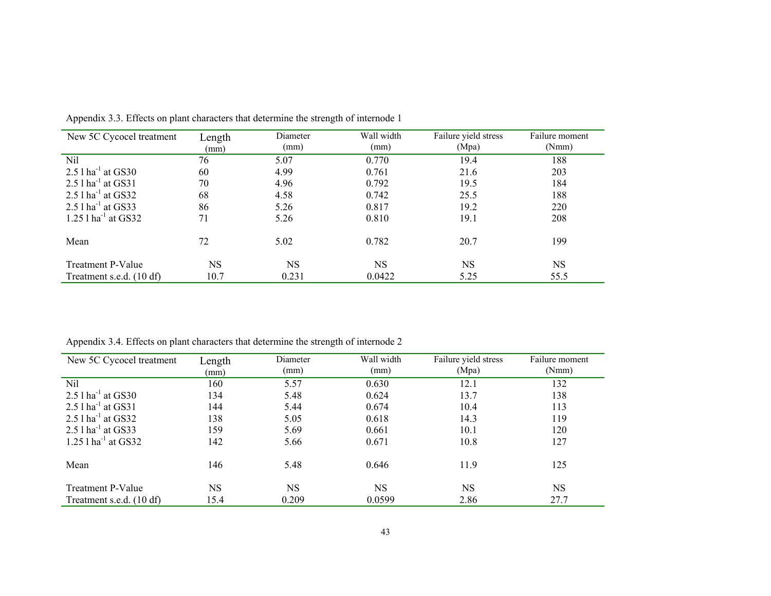| New 5C Cycocel treatment          | Length<br>(mm) | Diameter<br>(mm) | Wall width<br>(mm) | Failure yield stress<br>(Mpa) | Failure moment<br>(Nmm) |
|-----------------------------------|----------------|------------------|--------------------|-------------------------------|-------------------------|
| Nil                               | 76             | 5.07             | 0.770              | 19.4                          | 188                     |
| 2.5 $1 \text{ ha}^{-1}$ at GS30   | 60             | 4.99             | 0.761              | 21.6                          | 203                     |
| 2.5 $1$ ha <sup>-1</sup> at GS31  | 70             | 4.96             | 0.792              | 19.5                          | 184                     |
| $2.5$ l ha <sup>-1</sup> at GS32  | 68             | 4.58             | 0.742              | 25.5                          | 188                     |
| 2.5 $1$ ha <sup>-1</sup> at GS33  | 86             | 5.26             | 0.817              | 19.2                          | 220                     |
| $1.25$ l ha <sup>-1</sup> at GS32 | 71             | 5.26             | 0.810              | 19.1                          | 208                     |
| Mean                              | 72             | 5.02             | 0.782              | 20.7                          | 199                     |
| Treatment P-Value                 | NS             | <b>NS</b>        | <b>NS</b>          | <b>NS</b>                     | <b>NS</b>               |
| Treatment s.e.d. (10 df)          | 10.7           | 0.231            | 0.0422             | 5.25                          | 55.5                    |

Appendix 3.3. Effects on plant characters that determine the strength of internode 1

Appendix 3.4. Effects on plant characters that determine the strength of internode 2

| New 5C Cycocel treatment          | Length<br>(mm) | Diameter<br>(mm) | Wall width<br>(mm) | Failure yield stress<br>(Mpa) | Failure moment<br>(Nmm) |
|-----------------------------------|----------------|------------------|--------------------|-------------------------------|-------------------------|
| Nil                               | 160            | 5.57             | 0.630              | 12.1                          | 132                     |
| $2.5$ l ha <sup>-1</sup> at GS30  | 134            | 5.48             | 0.624              | 13.7                          | 138                     |
| $2.5$ 1 ha <sup>-1</sup> at GS31  | 144            | 5.44             | 0.674              | 10.4                          | 113                     |
| $2.5$ l ha <sup>-1</sup> at GS32  | 138            | 5.05             | 0.618              | 14.3                          | 119                     |
| 2.5 $1$ ha <sup>-1</sup> at GS33  | 159            | 5.69             | 0.661              | 10.1                          | 120                     |
| $1.25$ l ha <sup>-1</sup> at GS32 | 142            | 5.66             | 0.671              | 10.8                          | 127                     |
| Mean                              | 146            | 5.48             | 0.646              | 11.9                          | 125                     |
| Treatment P-Value                 | NS             | <b>NS</b>        | <b>NS</b>          | <b>NS</b>                     | <b>NS</b>               |
| Treatment s.e.d. (10 df)          | 15.4           | 0.209            | 0.0599             | 2.86                          | 27.7                    |